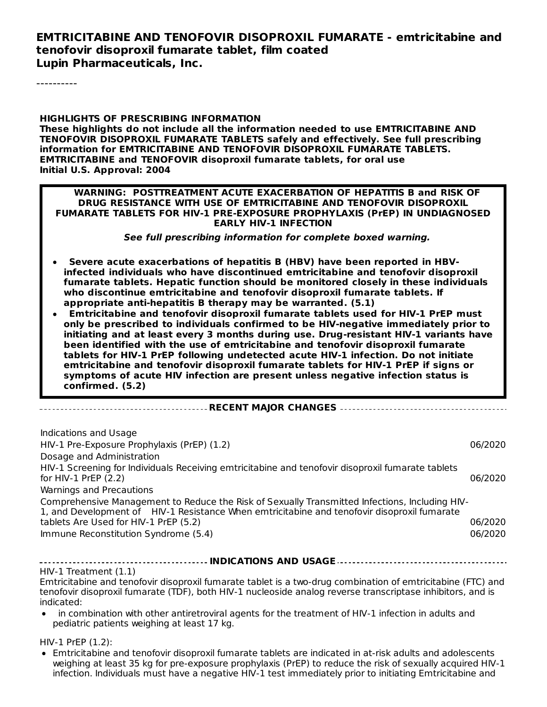#### **EMTRICITABINE AND TENOFOVIR DISOPROXIL FUMARATE - emtricitabine and tenofovir disoproxil fumarate tablet, film coated Lupin Pharmaceuticals, Inc.**

----------

#### **HIGHLIGHTS OF PRESCRIBING INFORMATION These highlights do not include all the information needed to use EMTRICITABINE AND TENOFOVIR DISOPROXIL FUMARATE TABLETS safely and effectively. See full prescribing information for EMTRICITABINE AND TENOFOVIR DISOPROXIL FUMARATE TABLETS. EMTRICITABINE and TENOFOVIR disoproxil fumarate tablets, for oral use Initial U.S. Approval: 2004**

#### **WARNING: POSTTREATMENT ACUTE EXACERBATION OF HEPATITIS B and RISK OF DRUG RESISTANCE WITH USE OF EMTRICITABINE AND TENOFOVIR DISOPROXIL FUMARATE TABLETS FOR HIV-1 PRE-EXPOSURE PROPHYLAXIS (PrEP) IN UNDIAGNOSED EARLY HIV-1 INFECTION**

**See full prescribing information for complete boxed warning.**

- **Severe acute exacerbations of hepatitis B (HBV) have been reported in HBVinfected individuals who have discontinued emtricitabine and tenofovir disoproxil fumarate tablets. Hepatic function should be monitored closely in these individuals who discontinue emtricitabine and tenofovir disoproxil fumarate tablets. If appropriate anti-hepatitis B therapy may be warranted. (5.1)**
- **Emtricitabine and tenofovir disoproxil fumarate tablets used for HIV-1 PrEP must only be prescribed to individuals confirmed to be HIV-negative immediately prior to initiating and at least every 3 months during use. Drug-resistant HIV-1 variants have been identified with the use of emtricitabine and tenofovir disoproxil fumarate tablets for HIV-1 PrEP following undetected acute HIV-1 infection. Do not initiate emtricitabine and tenofovir disoproxil fumarate tablets for HIV-1 PrEP if signs or symptoms of acute HIV infection are present unless negative infection status is confirmed. (5.2)**

|--|--|--|--|--|

| Indications and Usage                                                                                                       |         |
|-----------------------------------------------------------------------------------------------------------------------------|---------|
| HIV-1 Pre-Exposure Prophylaxis (PrEP) (1.2)                                                                                 | 06/2020 |
| Dosage and Administration                                                                                                   |         |
| HIV-1 Screening for Individuals Receiving emtricitabine and tenofovir disoproxil fumarate tablets<br>for HIV-1 PrEP $(2.2)$ | 06/2020 |
| Warnings and Precautions                                                                                                    |         |
| Comprehensive Management to Reduce the Risk of Sexually Transmitted Infections, Including HIV-                              |         |
| tablets Are Used for HIV-1 PrEP (5.2)                                                                                       | 06/2020 |
| Immune Reconstitution Syndrome (5.4)                                                                                        | 06/2020 |
| 1, and Development of HIV-1 Resistance When emtricitabine and tenofovir disoproxil fumarate                                 |         |

#### **INDICATIONS AND USAGE**

HIV-1 Treatment (1.1)

----------------------------

Emtricitabine and tenofovir disoproxil fumarate tablet is a two-drug combination of emtricitabine (FTC) and tenofovir disoproxil fumarate (TDF), both HIV-1 nucleoside analog reverse transcriptase inhibitors, and is indicated:

in combination with other antiretroviral agents for the treatment of HIV-1 infection in adults and pediatric patients weighing at least 17 kg.

HIV-1 PrEP (1.2):

Emtricitabine and tenofovir disoproxil fumarate tablets are indicated in at-risk adults and adolescents weighing at least 35 kg for pre-exposure prophylaxis (PrEP) to reduce the risk of sexually acquired HIV-1 infection. Individuals must have a negative HIV-1 test immediately prior to initiating Emtricitabine and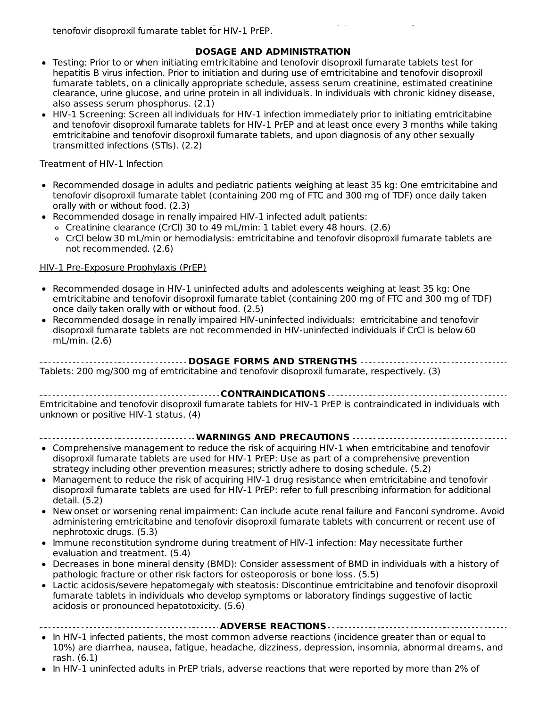#### **DOSAGE AND ADMINISTRATION**

- Testing: Prior to or when initiating emtricitabine and tenofovir disoproxil fumarate tablets test for hepatitis B virus infection. Prior to initiation and during use of emtricitabine and tenofovir disoproxil fumarate tablets, on a clinically appropriate schedule, assess serum creatinine, estimated creatinine clearance, urine glucose, and urine protein in all individuals. In individuals with chronic kidney disease, also assess serum phosphorus. (2.1)
- HIV-1 Screening: Screen all individuals for HIV-1 infection immediately prior to initiating emtricitabine and tenofovir disoproxil fumarate tablets for HIV-1 PrEP and at least once every 3 months while taking emtricitabine and tenofovir disoproxil fumarate tablets, and upon diagnosis of any other sexually transmitted infections (STIs). (2.2)

#### Treatment of HIV-1 Infection

- Recommended dosage in adults and pediatric patients weighing at least 35 kg: One emtricitabine and tenofovir disoproxil fumarate tablet (containing 200 mg of FTC and 300 mg of TDF) once daily taken orally with or without food. (2.3)
- Recommended dosage in renally impaired HIV-1 infected adult patients:
	- Creatinine clearance (CrCl) 30 to 49 mL/min: 1 tablet every 48 hours. (2.6)
	- CrCl below 30 mL/min or hemodialysis: emtricitabine and tenofovir disoproxil fumarate tablets are not recommended. (2.6)

#### HIV-1 Pre-Exposure Prophylaxis (PrEP)

- Recommended dosage in HIV-1 uninfected adults and adolescents weighing at least 35 kg: One emtricitabine and tenofovir disoproxil fumarate tablet (containing 200 mg of FTC and 300 mg of TDF) once daily taken orally with or without food. (2.5)
- Recommended dosage in renally impaired HIV-uninfected individuals: emtricitabine and tenofovir  $\bullet$ disoproxil fumarate tablets are not recommended in HIV-uninfected individuals if CrCl is below 60 mL/min. (2.6)

**DOSAGE FORMS AND STRENGTHS** Tablets: 200 mg/300 mg of emtricitabine and tenofovir disoproxil fumarate, respectively. (3)

**CONTRAINDICATIONS** Emtricitabine and tenofovir disoproxil fumarate tablets for HIV-1 PrEP is contraindicated in individuals with unknown or positive HIV-1 status. (4)

- **WARNINGS AND PRECAUTIONS**
- Comprehensive management to reduce the risk of acquiring HIV-1 when emtricitabine and tenofovir disoproxil fumarate tablets are used for HIV-1 PrEP: Use as part of a comprehensive prevention strategy including other prevention measures; strictly adhere to dosing schedule. (5.2)
- Management to reduce the risk of acquiring HIV-1 drug resistance when emtricitabine and tenofovir disoproxil fumarate tablets are used for HIV-1 PrEP: refer to full prescribing information for additional detail. (5.2)
- New onset or worsening renal impairment: Can include acute renal failure and Fanconi syndrome. Avoid administering emtricitabine and tenofovir disoproxil fumarate tablets with concurrent or recent use of nephrotoxic drugs. (5.3)
- Immune reconstitution syndrome during treatment of HIV-1 infection: May necessitate further evaluation and treatment. (5.4)
- Decreases in bone mineral density (BMD): Consider assessment of BMD in individuals with a history of pathologic fracture or other risk factors for osteoporosis or bone loss. (5.5)
- Lactic acidosis/severe hepatomegaly with steatosis: Discontinue emtricitabine and tenofovir disoproxil fumarate tablets in individuals who develop symptoms or laboratory findings suggestive of lactic acidosis or pronounced hepatotoxicity. (5.6)

|  | • In HIV-1 infected patients, the most common adverse reactions (incidence greater than or equal to |  |  |  |
|--|-----------------------------------------------------------------------------------------------------|--|--|--|
|  | 10%) are diarrhea, nausea, fatigue, headache, dizziness, depression, insomnia, abnormal dreams, and |  |  |  |

rash. (6.1) In HIV-1 uninfected adults in PrEP trials, adverse reactions that were reported by more than 2% of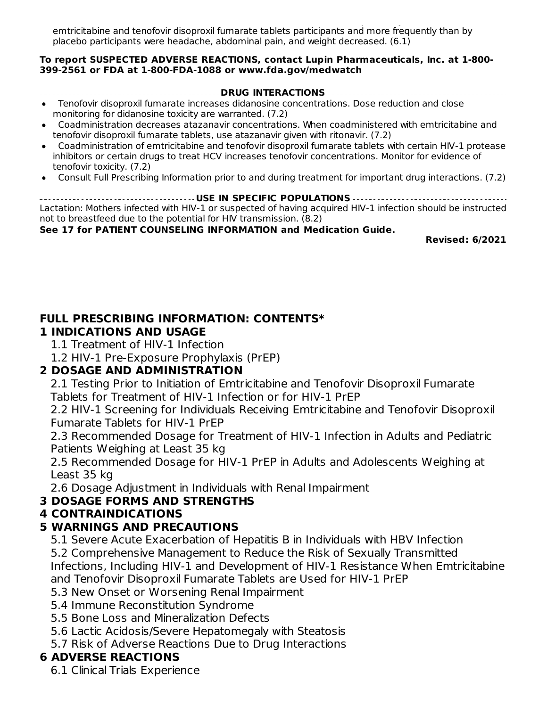In Hiv-1 uninfected adults in PrEP trials, adverse reactions that were reactions that were reported by more than 2% of  $\sim$ emtricitabine and tenofovir disoproxil fumarate tablets participants and more frequently than by placebo participants were headache, abdominal pain, and weight decreased. (6.1)

#### **To report SUSPECTED ADVERSE REACTIONS, contact Lupin Pharmaceuticals, Inc. at 1-800- 399-2561 or FDA at 1-800-FDA-1088 or www.fda.gov/medwatch**

**DRUG INTERACTIONS**

- Tenofovir disoproxil fumarate increases didanosine concentrations. Dose reduction and close monitoring for didanosine toxicity are warranted. (7.2)
- Coadministration decreases atazanavir concentrations. When coadministered with emtricitabine and tenofovir disoproxil fumarate tablets, use atazanavir given with ritonavir. (7.2)
- Coadministration of emtricitabine and tenofovir disoproxil fumarate tablets with certain HIV-1 protease inhibitors or certain drugs to treat HCV increases tenofovir concentrations. Monitor for evidence of tenofovir toxicity. (7.2)
- Consult Full Prescribing Information prior to and during treatment for important drug interactions. (7.2)

**USE IN SPECIFIC POPULATIONS** Lactation: Mothers infected with HIV-1 or suspected of having acquired HIV-1 infection should be instructed not to breastfeed due to the potential for HIV transmission. (8.2)

**See 17 for PATIENT COUNSELING INFORMATION and Medication Guide.**

**Revised: 6/2021**

#### **FULL PRESCRIBING INFORMATION: CONTENTS\***

#### **1 INDICATIONS AND USAGE**

- 1.1 Treatment of HIV-1 Infection
- 1.2 HIV-1 Pre-Exposure Prophylaxis (PrEP)

#### **2 DOSAGE AND ADMINISTRATION**

2.1 Testing Prior to Initiation of Emtricitabine and Tenofovir Disoproxil Fumarate Tablets for Treatment of HIV-1 Infection or for HIV-1 PrEP

2.2 HIV-1 Screening for Individuals Receiving Emtricitabine and Tenofovir Disoproxil Fumarate Tablets for HIV-1 PrEP

2.3 Recommended Dosage for Treatment of HIV-1 Infection in Adults and Pediatric Patients Weighing at Least 35 kg

2.5 Recommended Dosage for HIV-1 PrEP in Adults and Adolescents Weighing at Least 35 kg

2.6 Dosage Adjustment in Individuals with Renal Impairment

#### **3 DOSAGE FORMS AND STRENGTHS**

#### **4 CONTRAINDICATIONS**

### **5 WARNINGS AND PRECAUTIONS**

5.1 Severe Acute Exacerbation of Hepatitis B in Individuals with HBV Infection 5.2 Comprehensive Management to Reduce the Risk of Sexually Transmitted Infections, Including HIV-1 and Development of HIV-1 Resistance When Emtricitabine and Tenofovir Disoproxil Fumarate Tablets are Used for HIV-1 PrEP

5.3 New Onset or Worsening Renal Impairment

5.4 Immune Reconstitution Syndrome

5.5 Bone Loss and Mineralization Defects

5.6 Lactic Acidosis/Severe Hepatomegaly with Steatosis

5.7 Risk of Adverse Reactions Due to Drug Interactions

### **6 ADVERSE REACTIONS**

6.1 Clinical Trials Experience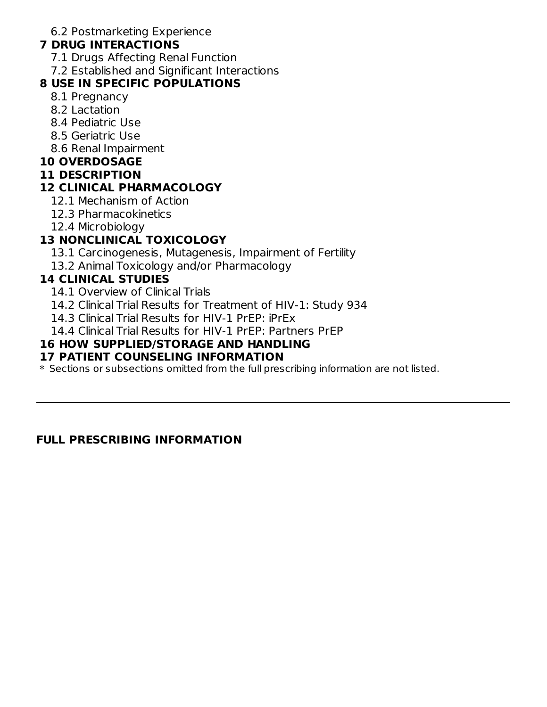6.2 Postmarketing Experience

#### **7 DRUG INTERACTIONS**

- 7.1 Drugs Affecting Renal Function
- 7.2 Established and Significant Interactions

#### **8 USE IN SPECIFIC POPULATIONS**

- 8.1 Pregnancy
- 8.2 Lactation
- 8.4 Pediatric Use
- 8.5 Geriatric Use
- 8.6 Renal Impairment

#### **10 OVERDOSAGE**

#### **11 DESCRIPTION**

### **12 CLINICAL PHARMACOLOGY**

- 12.1 Mechanism of Action
- 12.3 Pharmacokinetics
- 12.4 Microbiology

### **13 NONCLINICAL TOXICOLOGY**

- 13.1 Carcinogenesis, Mutagenesis, Impairment of Fertility
- 13.2 Animal Toxicology and/or Pharmacology

#### **14 CLINICAL STUDIES**

- 14.1 Overview of Clinical Trials
- 14.2 Clinical Trial Results for Treatment of HIV-1: Study 934
- 14.3 Clinical Trial Results for HIV-1 PrEP: iPrEx
- 14.4 Clinical Trial Results for HIV-1 PrEP: Partners PrEP

#### **16 HOW SUPPLIED/STORAGE AND HANDLING**

#### **17 PATIENT COUNSELING INFORMATION**

 $\ast$  Sections or subsections omitted from the full prescribing information are not listed.

#### **FULL PRESCRIBING INFORMATION**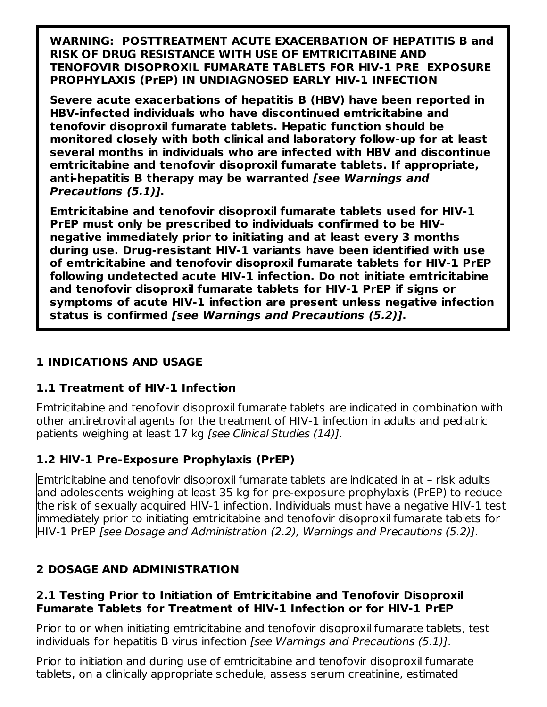**WARNING: POSTTREATMENT ACUTE EXACERBATION OF HEPATITIS B and RISK OF DRUG RESISTANCE WITH USE OF EMTRICITABINE AND TENOFOVIR DISOPROXIL FUMARATE TABLETS FOR HIV-1 PRE EXPOSURE PROPHYLAXIS (PrEP) IN UNDIAGNOSED EARLY HIV-1 INFECTION**

**Severe acute exacerbations of hepatitis B (HBV) have been reported in HBV-infected individuals who have discontinued emtricitabine and tenofovir disoproxil fumarate tablets. Hepatic function should be monitored closely with both clinical and laboratory follow-up for at least several months in individuals who are infected with HBV and discontinue emtricitabine and tenofovir disoproxil fumarate tablets. If appropriate, anti-hepatitis B therapy may be warranted [see Warnings and Precautions (5.1)].**

**Emtricitabine and tenofovir disoproxil fumarate tablets used for HIV-1 PrEP must only be prescribed to individuals confirmed to be HIVnegative immediately prior to initiating and at least every 3 months during use. Drug-resistant HIV-1 variants have been identified with use of emtricitabine and tenofovir disoproxil fumarate tablets for HIV-1 PrEP following undetected acute HIV-1 infection. Do not initiate emtricitabine and tenofovir disoproxil fumarate tablets for HIV-1 PrEP if signs or symptoms of acute HIV-1 infection are present unless negative infection status is confirmed [see Warnings and Precautions (5.2)].**

### **1 INDICATIONS AND USAGE**

### **1.1 Treatment of HIV-1 Infection**

Emtricitabine and tenofovir disoproxil fumarate tablets are indicated in combination with other antiretroviral agents for the treatment of HIV-1 infection in adults and pediatric patients weighing at least 17 kg [see Clinical Studies (14)].

### **1.2 HIV-1 Pre-Exposure Prophylaxis (PrEP)**

Emtricitabine and tenofovir disoproxil fumarate tablets are indicated in at – risk adults and adolescents weighing at least 35 kg for pre-exposure prophylaxis (PrEP) to reduce the risk of sexually acquired HIV-1 infection. Individuals must have a negative HIV-1 test immediately prior to initiating emtricitabine and tenofovir disoproxil fumarate tablets for HIV-1 PrEP [see Dosage and Administration (2.2), Warnings and Precautions (5.2)].

### **2 DOSAGE AND ADMINISTRATION**

#### **2.1 Testing Prior to Initiation of Emtricitabine and Tenofovir Disoproxil Fumarate Tablets for Treatment of HIV-1 Infection or for HIV-1 PrEP**

Prior to or when initiating emtricitabine and tenofovir disoproxil fumarate tablets, test individuals for hepatitis B virus infection [see Warnings and Precautions (5.1)].

Prior to initiation and during use of emtricitabine and tenofovir disoproxil fumarate tablets, on a clinically appropriate schedule, assess serum creatinine, estimated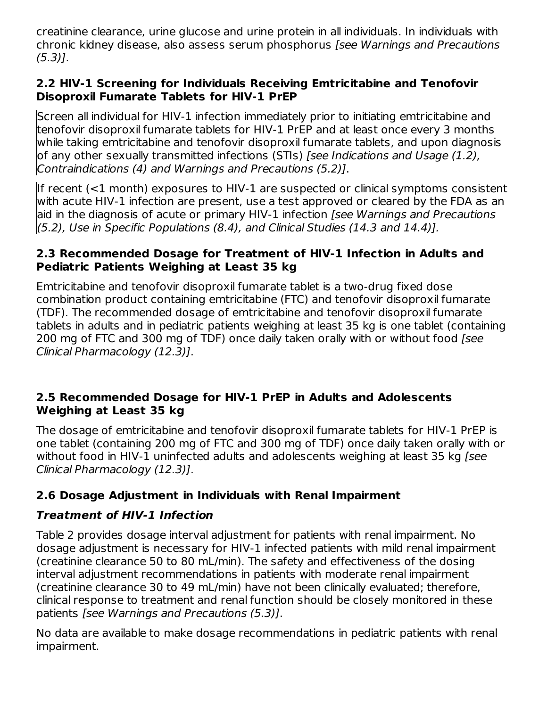creatinine clearance, urine glucose and urine protein in all individuals. In individuals with chronic kidney disease, also assess serum phosphorus [see Warnings and Precautions (5.3)].

#### **2.2 HIV-1 Screening for Individuals Receiving Emtricitabine and Tenofovir Disoproxil Fumarate Tablets for HIV-1 PrEP**

Screen all individual for HIV-1 infection immediately prior to initiating emtricitabine and tenofovir disoproxil fumarate tablets for HIV-1 PrEP and at least once every 3 months while taking emtricitabine and tenofovir disoproxil fumarate tablets, and upon diagnosis of any other sexually transmitted infections (STIs) [see Indications and Usage (1.2), Contraindications (4) and Warnings and Precautions (5.2)].

If recent (<1 month) exposures to HIV-1 are suspected or clinical symptoms consistent with acute HIV-1 infection are present, use a test approved or cleared by the FDA as an aid in the diagnosis of acute or primary HIV-1 infection *[see Warnings and Precautions* (5.2), Use in Specific Populations (8.4), and Clinical Studies (14.3 and 14.4)].

#### **2.3 Recommended Dosage for Treatment of HIV-1 Infection in Adults and Pediatric Patients Weighing at Least 35 kg**

Emtricitabine and tenofovir disoproxil fumarate tablet is a two-drug fixed dose combination product containing emtricitabine (FTC) and tenofovir disoproxil fumarate (TDF). The recommended dosage of emtricitabine and tenofovir disoproxil fumarate tablets in adults and in pediatric patients weighing at least 35 kg is one tablet (containing 200 mg of FTC and 300 mg of TDF) once daily taken orally with or without food [see Clinical Pharmacology (12.3)].

#### **2.5 Recommended Dosage for HIV-1 PrEP in Adults and Adolescents Weighing at Least 35 kg**

The dosage of emtricitabine and tenofovir disoproxil fumarate tablets for HIV-1 PrEP is one tablet (containing 200 mg of FTC and 300 mg of TDF) once daily taken orally with or without food in HIV-1 uninfected adults and adolescents weighing at least 35 kg [see Clinical Pharmacology (12.3)].

## **2.6 Dosage Adjustment in Individuals with Renal Impairment**

### **Treatment of HIV-1 Infection**

Table 2 provides dosage interval adjustment for patients with renal impairment. No dosage adjustment is necessary for HIV-1 infected patients with mild renal impairment (creatinine clearance 50 to 80 mL/min). The safety and effectiveness of the dosing interval adjustment recommendations in patients with moderate renal impairment (creatinine clearance 30 to 49 mL/min) have not been clinically evaluated; therefore, clinical response to treatment and renal function should be closely monitored in these patients [see Warnings and Precautions (5.3)].

No data are available to make dosage recommendations in pediatric patients with renal impairment.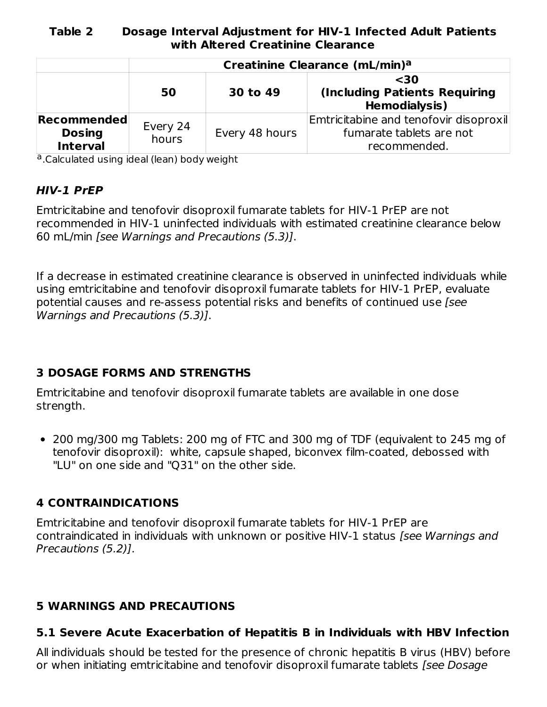#### **Table 2 Dosage Interval Adjustment for HIV-1 Infected Adult Patients with Altered Creatinine Clearance**

|                                                 | Creatinine Clearance (mL/min) <sup>a</sup> |                |                                                                                    |  |
|-------------------------------------------------|--------------------------------------------|----------------|------------------------------------------------------------------------------------|--|
|                                                 | 50                                         | 30 to 49       | $30$<br><b>(Including Patients Requiring</b><br><b>Hemodialysis)</b>               |  |
| Recommended<br><b>Dosing</b><br><b>Interval</b> | Every 24<br>hours                          | Every 48 hours | Emtricitabine and tenofovir disoproxil<br>fumarate tablets are not<br>recommended. |  |

a.Calculated using ideal (lean) body weight

#### **HIV-1 PrEP**

Emtricitabine and tenofovir disoproxil fumarate tablets for HIV-1 PrEP are not recommended in HIV-1 uninfected individuals with estimated creatinine clearance below 60 mL/min [see Warnings and Precautions (5.3)].

If a decrease in estimated creatinine clearance is observed in uninfected individuals while using emtricitabine and tenofovir disoproxil fumarate tablets for HIV-1 PrEP, evaluate potential causes and re-assess potential risks and benefits of continued use [see Warnings and Precautions (5.3)].

### **3 DOSAGE FORMS AND STRENGTHS**

Emtricitabine and tenofovir disoproxil fumarate tablets are available in one dose strength.

200 mg/300 mg Tablets: 200 mg of FTC and 300 mg of TDF (equivalent to 245 mg of tenofovir disoproxil): white, capsule shaped, biconvex film-coated, debossed with "LU" on one side and "Q31" on the other side.

#### **4 CONTRAINDICATIONS**

Emtricitabine and tenofovir disoproxil fumarate tablets for HIV-1 PrEP are contraindicated in individuals with unknown or positive HIV-1 status [see Warnings and Precautions (5.2)].

#### **5 WARNINGS AND PRECAUTIONS**

#### **5.1 Severe Acute Exacerbation of Hepatitis B in Individuals with HBV Infection**

All individuals should be tested for the presence of chronic hepatitis B virus (HBV) before or when initiating emtricitabine and tenofovir disoproxil fumarate tablets [see Dosage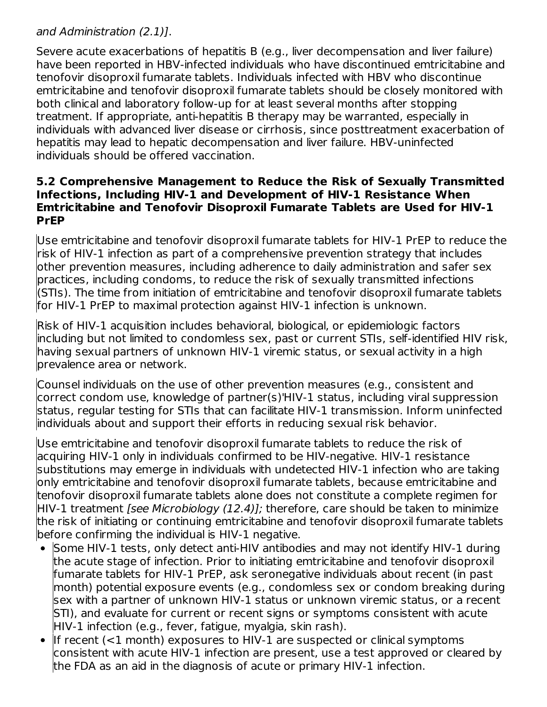### and Administration (2.1)].

Severe acute exacerbations of hepatitis B (e.g., liver decompensation and liver failure) have been reported in HBV-infected individuals who have discontinued emtricitabine and tenofovir disoproxil fumarate tablets. Individuals infected with HBV who discontinue emtricitabine and tenofovir disoproxil fumarate tablets should be closely monitored with both clinical and laboratory follow-up for at least several months after stopping treatment. If appropriate, anti-hepatitis B therapy may be warranted, especially in individuals with advanced liver disease or cirrhosis, since posttreatment exacerbation of hepatitis may lead to hepatic decompensation and liver failure. HBV-uninfected individuals should be offered vaccination.

#### **5.2 Comprehensive Management to Reduce the Risk of Sexually Transmitted Infections, Including HIV-1 and Development of HIV-1 Resistance When Emtricitabine and Tenofovir Disoproxil Fumarate Tablets are Used for HIV-1 PrEP**

Use emtricitabine and tenofovir disoproxil fumarate tablets for HIV-1 PrEP to reduce the risk of HIV-1 infection as part of a comprehensive prevention strategy that includes other prevention measures, including adherence to daily administration and safer sex practices, including condoms, to reduce the risk of sexually transmitted infections (STIs). The time from initiation of emtricitabine and tenofovir disoproxil fumarate tablets for HIV-1 PrEP to maximal protection against HIV-1 infection is unknown.

Risk of HIV-1 acquisition includes behavioral, biological, or epidemiologic factors including but not limited to condomless sex, past or current STIs, self-identified HIV risk, having sexual partners of unknown HIV-1 viremic status, or sexual activity in a high prevalence area or network.

Counsel individuals on the use of other prevention measures (e.g., consistent and correct condom use, knowledge of partner(s)'HIV-1 status, including viral suppression status, regular testing for STIs that can facilitate HIV-1 transmission. Inform uninfected individuals about and support their efforts in reducing sexual risk behavior.

Use emtricitabine and tenofovir disoproxil fumarate tablets to reduce the risk of acquiring HIV-1 only in individuals confirmed to be HIV-negative. HIV-1 resistance substitutions may emerge in individuals with undetected HIV-1 infection who are taking only emtricitabine and tenofovir disoproxil fumarate tablets, because emtricitabine and tenofovir disoproxil fumarate tablets alone does not constitute a complete regimen for HIV-1 treatment *[see Microbiology (12.4)];* therefore, care should be taken to minimize the risk of initiating or continuing emtricitabine and tenofovir disoproxil fumarate tablets before confirming the individual is HIV-1 negative.

- Some HIV-1 tests, only detect anti-HIV antibodies and may not identify HIV-1 during the acute stage of infection. Prior to initiating emtricitabine and tenofovir disoproxil fumarate tablets for HIV-1 PrEP, ask seronegative individuals about recent (in past month) potential exposure events (e.g., condomless sex or condom breaking during sex with a partner of unknown HIV-1 status or unknown viremic status, or a recent STI), and evaluate for current or recent signs or symptoms consistent with acute HIV-1 infection (e.g., fever, fatigue, myalgia, skin rash).
- If recent  $($  < 1 month) exposures to HIV-1 are suspected or clinical symptoms  $\bullet$ consistent with acute HIV-1 infection are present, use a test approved or cleared by the FDA as an aid in the diagnosis of acute or primary HIV-1 infection.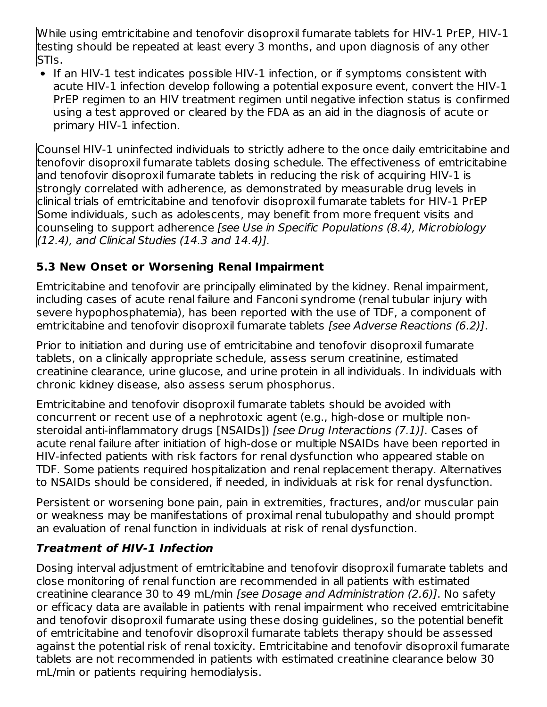While using emtricitabine and tenofovir disoproxil fumarate tablets for HIV-1 PrEP, HIV-1 testing should be repeated at least every 3 months, and upon diagnosis of any other STIs.

• If an HIV-1 test indicates possible HIV-1 infection, or if symptoms consistent with acute HIV-1 infection develop following a potential exposure event, convert the HIV-1 PrEP regimen to an HIV treatment regimen until negative infection status is confirmed using a test approved or cleared by the FDA as an aid in the diagnosis of acute or primary HIV-1 infection.

Counsel HIV-1 uninfected individuals to strictly adhere to the once daily emtricitabine and tenofovir disoproxil fumarate tablets dosing schedule. The effectiveness of emtricitabine and tenofovir disoproxil fumarate tablets in reducing the risk of acquiring HIV-1 is strongly correlated with adherence, as demonstrated by measurable drug levels in clinical trials of emtricitabine and tenofovir disoproxil fumarate tablets for HIV-1 PrEP Some individuals, such as adolescents, may benefit from more frequent visits and counseling to support adherence [see Use in Specific Populations (8.4), Microbiology (12.4), and Clinical Studies (14.3 and 14.4)].

### **5.3 New Onset or Worsening Renal Impairment**

Emtricitabine and tenofovir are principally eliminated by the kidney. Renal impairment, including cases of acute renal failure and Fanconi syndrome (renal tubular injury with severe hypophosphatemia), has been reported with the use of TDF, a component of emtricitabine and tenofovir disoproxil fumarate tablets [see Adverse Reactions (6.2)].

Prior to initiation and during use of emtricitabine and tenofovir disoproxil fumarate tablets, on a clinically appropriate schedule, assess serum creatinine, estimated creatinine clearance, urine glucose, and urine protein in all individuals. In individuals with chronic kidney disease, also assess serum phosphorus.

Emtricitabine and tenofovir disoproxil fumarate tablets should be avoided with concurrent or recent use of a nephrotoxic agent (e.g., high-dose or multiple nonsteroidal anti-inflammatory drugs [NSAIDs]) [see Drug Interactions (7.1)]. Cases of acute renal failure after initiation of high-dose or multiple NSAIDs have been reported in HIV-infected patients with risk factors for renal dysfunction who appeared stable on TDF. Some patients required hospitalization and renal replacement therapy. Alternatives to NSAIDs should be considered, if needed, in individuals at risk for renal dysfunction.

Persistent or worsening bone pain, pain in extremities, fractures, and/or muscular pain or weakness may be manifestations of proximal renal tubulopathy and should prompt an evaluation of renal function in individuals at risk of renal dysfunction.

## **Treatment of HIV-1 Infection**

Dosing interval adjustment of emtricitabine and tenofovir disoproxil fumarate tablets and close monitoring of renal function are recommended in all patients with estimated creatinine clearance 30 to 49 mL/min [see Dosage and Administration (2.6)]. No safety or efficacy data are available in patients with renal impairment who received emtricitabine and tenofovir disoproxil fumarate using these dosing guidelines, so the potential benefit of emtricitabine and tenofovir disoproxil fumarate tablets therapy should be assessed against the potential risk of renal toxicity. Emtricitabine and tenofovir disoproxil fumarate tablets are not recommended in patients with estimated creatinine clearance below 30 mL/min or patients requiring hemodialysis.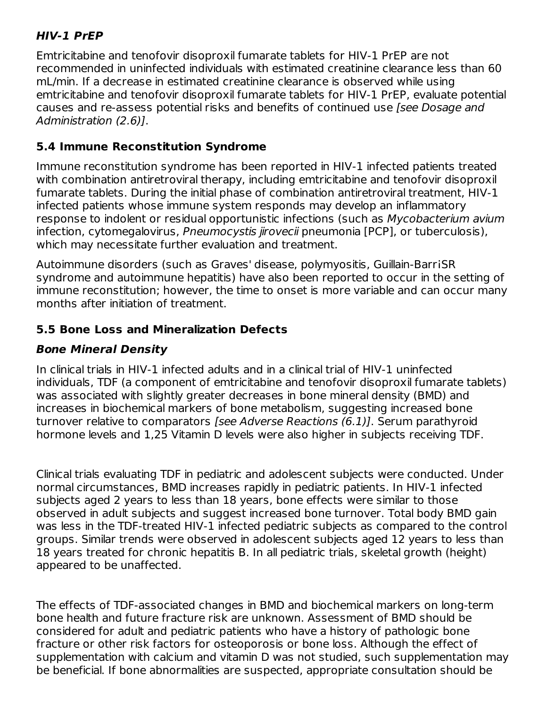### **HIV-1 PrEP**

Emtricitabine and tenofovir disoproxil fumarate tablets for HIV-1 PrEP are not recommended in uninfected individuals with estimated creatinine clearance less than 60 mL/min. If a decrease in estimated creatinine clearance is observed while using emtricitabine and tenofovir disoproxil fumarate tablets for HIV-1 PrEP, evaluate potential causes and re-assess potential risks and benefits of continued use [see Dosage and Administration (2.6)].

### **5.4 Immune Reconstitution Syndrome**

Immune reconstitution syndrome has been reported in HIV-1 infected patients treated with combination antiretroviral therapy, including emtricitabine and tenofovir disoproxil fumarate tablets. During the initial phase of combination antiretroviral treatment, HIV-1 infected patients whose immune system responds may develop an inflammatory response to indolent or residual opportunistic infections (such as Mycobacterium avium infection, cytomegalovirus, Pneumocystis jirovecii pneumonia [PCP], or tuberculosis), which may necessitate further evaluation and treatment.

Autoimmune disorders (such as Graves' disease, polymyositis, Guillain-BarriSR syndrome and autoimmune hepatitis) have also been reported to occur in the setting of immune reconstitution; however, the time to onset is more variable and can occur many months after initiation of treatment.

### **5.5 Bone Loss and Mineralization Defects**

### **Bone Mineral Density**

In clinical trials in HIV-1 infected adults and in a clinical trial of HIV-1 uninfected individuals, TDF (a component of emtricitabine and tenofovir disoproxil fumarate tablets) was associated with slightly greater decreases in bone mineral density (BMD) and increases in biochemical markers of bone metabolism, suggesting increased bone turnover relative to comparators [see Adverse Reactions (6.1)]. Serum parathyroid hormone levels and 1,25 Vitamin D levels were also higher in subjects receiving TDF.

Clinical trials evaluating TDF in pediatric and adolescent subjects were conducted. Under normal circumstances, BMD increases rapidly in pediatric patients. In HIV-1 infected subjects aged 2 years to less than 18 years, bone effects were similar to those observed in adult subjects and suggest increased bone turnover. Total body BMD gain was less in the TDF-treated HIV-1 infected pediatric subjects as compared to the control groups. Similar trends were observed in adolescent subjects aged 12 years to less than 18 years treated for chronic hepatitis B. In all pediatric trials, skeletal growth (height) appeared to be unaffected.

The effects of TDF-associated changes in BMD and biochemical markers on long-term bone health and future fracture risk are unknown. Assessment of BMD should be considered for adult and pediatric patients who have a history of pathologic bone fracture or other risk factors for osteoporosis or bone loss. Although the effect of supplementation with calcium and vitamin D was not studied, such supplementation may be beneficial. If bone abnormalities are suspected, appropriate consultation should be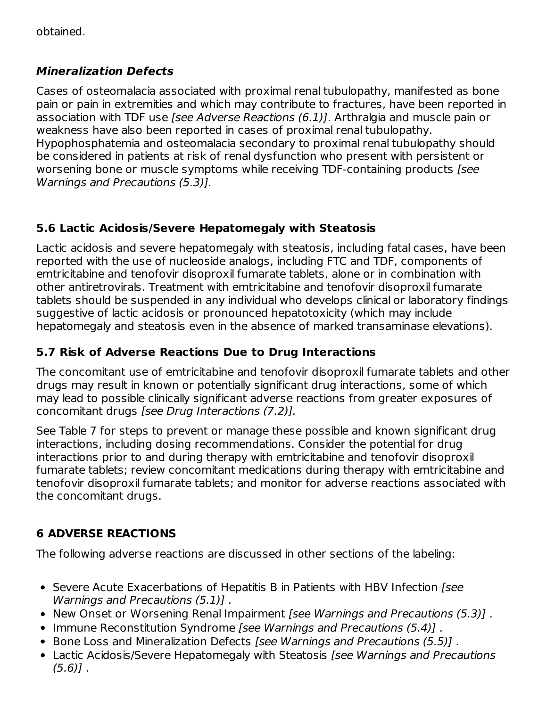# **Mineralization Defects**

Cases of osteomalacia associated with proximal renal tubulopathy, manifested as bone pain or pain in extremities and which may contribute to fractures, have been reported in association with TDF use [see Adverse Reactions (6.1)]. Arthralgia and muscle pain or weakness have also been reported in cases of proximal renal tubulopathy. Hypophosphatemia and osteomalacia secondary to proximal renal tubulopathy should be considered in patients at risk of renal dysfunction who present with persistent or worsening bone or muscle symptoms while receiving TDF-containing products [see Warnings and Precautions (5.3)].

# **5.6 Lactic Acidosis/Severe Hepatomegaly with Steatosis**

Lactic acidosis and severe hepatomegaly with steatosis, including fatal cases, have been reported with the use of nucleoside analogs, including FTC and TDF, components of emtricitabine and tenofovir disoproxil fumarate tablets, alone or in combination with other antiretrovirals. Treatment with emtricitabine and tenofovir disoproxil fumarate tablets should be suspended in any individual who develops clinical or laboratory findings suggestive of lactic acidosis or pronounced hepatotoxicity (which may include hepatomegaly and steatosis even in the absence of marked transaminase elevations).

# **5.7 Risk of Adverse Reactions Due to Drug Interactions**

The concomitant use of emtricitabine and tenofovir disoproxil fumarate tablets and other drugs may result in known or potentially significant drug interactions, some of which may lead to possible clinically significant adverse reactions from greater exposures of concomitant drugs [see Drug Interactions (7.2)].

See Table 7 for steps to prevent or manage these possible and known significant drug interactions, including dosing recommendations. Consider the potential for drug interactions prior to and during therapy with emtricitabine and tenofovir disoproxil fumarate tablets; review concomitant medications during therapy with emtricitabine and tenofovir disoproxil fumarate tablets; and monitor for adverse reactions associated with the concomitant drugs.

# **6 ADVERSE REACTIONS**

The following adverse reactions are discussed in other sections of the labeling:

- Severe Acute Exacerbations of Hepatitis B in Patients with HBV Infection [see Warnings and Precautions (5.1)] .
- New Onset or Worsening Renal Impairment *[see Warnings and Precautions (5.3)]*.
- Immune Reconstitution Syndrome [see Warnings and Precautions (5.4)].
- Bone Loss and Mineralization Defects [see Warnings and Precautions (5.5)].
- Lactic Acidosis/Severe Hepatomegaly with Steatosis *[see Warnings and Precautions*  $(5.6)$ ].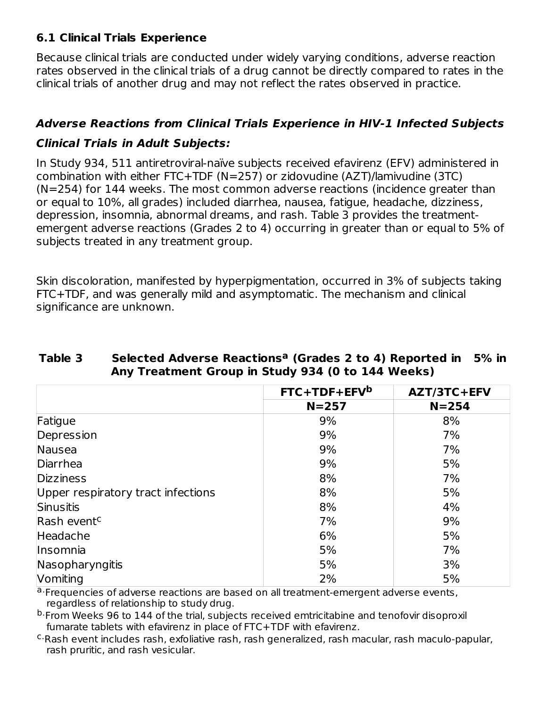### **6.1 Clinical Trials Experience**

Because clinical trials are conducted under widely varying conditions, adverse reaction rates observed in the clinical trials of a drug cannot be directly compared to rates in the clinical trials of another drug and may not reflect the rates observed in practice.

### **Adverse Reactions from Clinical Trials Experience in HIV-1 Infected Subjects**

### **Clinical Trials in Adult Subjects:**

In Study 934, 511 antiretroviral-naïve subjects received efavirenz (EFV) administered in combination with either FTC+TDF (N=257) or zidovudine (AZT)/lamivudine (3TC) (N=254) for 144 weeks. The most common adverse reactions (incidence greater than or equal to 10%, all grades) included diarrhea, nausea, fatigue, headache, dizziness, depression, insomnia, abnormal dreams, and rash. Table 3 provides the treatmentemergent adverse reactions (Grades 2 to 4) occurring in greater than or equal to 5% of subjects treated in any treatment group.

Skin discoloration, manifested by hyperpigmentation, occurred in 3% of subjects taking FTC+TDF, and was generally mild and asymptomatic. The mechanism and clinical significance are unknown.

|                                    | $FTC+TDF+EFVb$ | AZT/3TC+EFV |
|------------------------------------|----------------|-------------|
|                                    | $N = 257$      | $N = 254$   |
| Fatigue                            | 9%             | 8%          |
| Depression                         | 9%             | 7%          |
| Nausea                             | 9%             | 7%          |
| Diarrhea                           | 9%             | 5%          |
| <b>Dizziness</b>                   | 8%             | 7%          |
| Upper respiratory tract infections | 8%             | 5%          |
| Sinusitis                          | 8%             | 4%          |
| Rash event <sup>c</sup>            | 7%             | 9%          |
| Headache                           | 6%             | 5%          |
| <i>Insomnia</i>                    | 5%             | 7%          |
| Nasopharyngitis                    | 5%             | 3%          |
| Vomiting                           | 2%             | 5%          |

#### **Table 3 Selected Adverse Reactions (Grades 2 to 4) Reported in 5% in a Any Treatment Group in Study 934 (0 to 144 Weeks)**

a. Frequencies of adverse reactions are based on all treatment-emergent adverse events, regardless of relationship to study drug.

<sup>b.</sup>From Weeks 96 to 144 of the trial, subjects received emtricitabine and tenofovir disoproxil fumarate tablets with efavirenz in place of FTC+TDF with efavirenz.

<sup>c.</sup>Rash event includes rash, exfoliative rash, rash generalized, rash macular, rash maculo-papular, rash pruritic, and rash vesicular.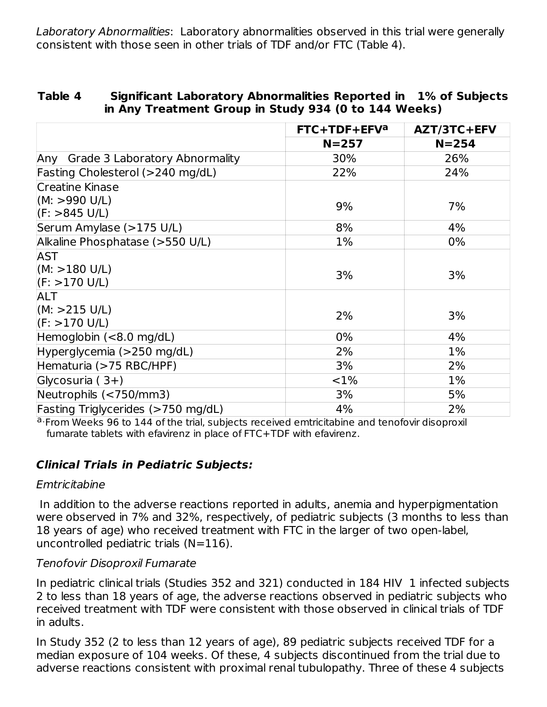Laboratory Abnormalities: Laboratory abnormalities observed in this trial were generally consistent with those seen in other trials of TDF and/or FTC (Table 4).

| Table 4 | Significant Laboratory Abnormalities Reported in 1% of Subjects |
|---------|-----------------------------------------------------------------|
|         | in Any Treatment Group in Study 934 (0 to 144 Weeks)            |

|                                    | FTC+TDF+EFV <sup>a</sup> | AZT/3TC+EFV |
|------------------------------------|--------------------------|-------------|
|                                    | $N = 257$                | $N = 254$   |
| Any Grade 3 Laboratory Abnormality | 30%                      | 26%         |
| Fasting Cholesterol (>240 mg/dL)   | 22%                      | 24%         |
| <b>Creatine Kinase</b>             |                          |             |
| (M: >990 U/L)                      | 9%                       | 7%          |
| $  (F: > 845 \text{ U/L})$         |                          |             |
| Serum Amylase (>175 U/L)           | 8%                       | 4%          |
| Alkaline Phosphatase (>550 U/L)    | 1%                       | $0\%$       |
| <b>AST</b>                         |                          |             |
| (M: > 180 U/L)                     | 3%                       | 3%          |
| (F: > 170 U/L)                     |                          |             |
| <b>ALT</b>                         |                          |             |
| (M: > 215 U/L)                     | 2%                       | 3%          |
| (F: > 170 U/L)                     |                          |             |
| Hemoglobin $(< 8.0$ mg/dL)         | 0%                       | 4%          |
| Hyperglycemia (>250 mg/dL)         | 2%                       | 1%          |
| Hematuria (>75 RBC/HPF)            | 3%                       | 2%          |
| Glycosuria $(3+)$                  | $< 1\%$                  | 1%          |
| Neutrophils (<750/mm3)             | 3%                       | 5%          |
| Fasting Triglycerides (>750 mg/dL) | 4%                       | 2%          |

a. From Weeks 96 to 144 of the trial, subjects received emtricitabine and tenofovir disoproxil fumarate tablets with efavirenz in place of FTC+TDF with efavirenz.

#### **Clinical Trials in Pediatric Subjects:**

#### Emtricitabine

In addition to the adverse reactions reported in adults, anemia and hyperpigmentation were observed in 7% and 32%, respectively, of pediatric subjects (3 months to less than 18 years of age) who received treatment with FTC in the larger of two open-label, uncontrolled pediatric trials  $(N=116)$ .

#### Tenofovir Disoproxil Fumarate

In pediatric clinical trials (Studies 352 and 321) conducted in 184 HIV 1 infected subjects 2 to less than 18 years of age, the adverse reactions observed in pediatric subjects who received treatment with TDF were consistent with those observed in clinical trials of TDF in adults.

In Study 352 (2 to less than 12 years of age), 89 pediatric subjects received TDF for a median exposure of 104 weeks. Of these, 4 subjects discontinued from the trial due to adverse reactions consistent with proximal renal tubulopathy. Three of these 4 subjects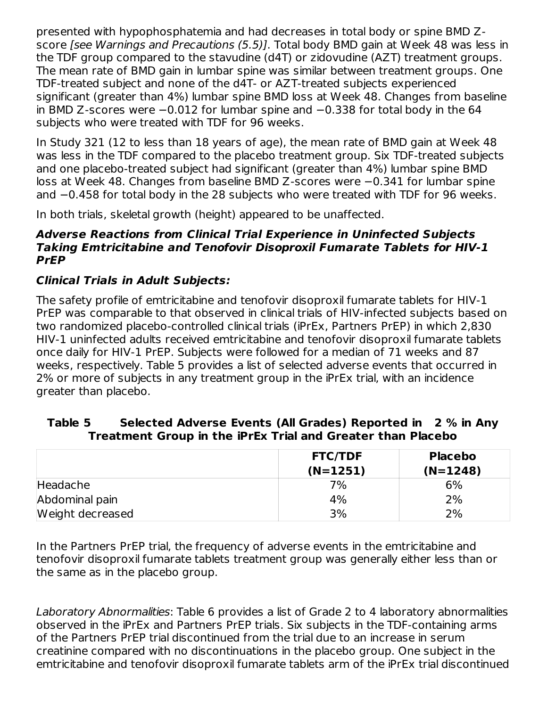presented with hypophosphatemia and had decreases in total body or spine BMD Zscore [see Warnings and Precautions (5.5)]. Total body BMD gain at Week 48 was less in the TDF group compared to the stavudine (d4T) or zidovudine (AZT) treatment groups. The mean rate of BMD gain in lumbar spine was similar between treatment groups. One TDF-treated subject and none of the d4T- or AZT-treated subjects experienced significant (greater than 4%) lumbar spine BMD loss at Week 48. Changes from baseline in BMD Z-scores were −0.012 for lumbar spine and −0.338 for total body in the 64 subjects who were treated with TDF for 96 weeks.

In Study 321 (12 to less than 18 years of age), the mean rate of BMD gain at Week 48 was less in the TDF compared to the placebo treatment group. Six TDF-treated subjects and one placebo-treated subject had significant (greater than 4%) lumbar spine BMD loss at Week 48. Changes from baseline BMD Z-scores were −0.341 for lumbar spine and −0.458 for total body in the 28 subjects who were treated with TDF for 96 weeks.

In both trials, skeletal growth (height) appeared to be unaffected.

#### **Adverse Reactions from Clinical Trial Experience in Uninfected Subjects Taking Emtricitabine and Tenofovir Disoproxil Fumarate Tablets for HIV-1 PrEP**

### **Clinical Trials in Adult Subjects:**

The safety profile of emtricitabine and tenofovir disoproxil fumarate tablets for HIV-1 PrEP was comparable to that observed in clinical trials of HIV-infected subjects based on two randomized placebo-controlled clinical trials (iPrEx, Partners PrEP) in which 2,830 HIV-1 uninfected adults received emtricitabine and tenofovir disoproxil fumarate tablets once daily for HIV-1 PrEP. Subjects were followed for a median of 71 weeks and 87 weeks, respectively. Table 5 provides a list of selected adverse events that occurred in 2% or more of subjects in any treatment group in the iPrEx trial, with an incidence greater than placebo.

#### **Table 5 Selected Adverse Events (All Grades) Reported in 2 % in Any Treatment Group in the iPrEx Trial and Greater than Placebo**

|                  | <b>FTC/TDF</b> | <b>Placebo</b> |
|------------------|----------------|----------------|
|                  | $(N=1251)$     | $(N=1248)$     |
| Headache         | 7%             | 6%             |
| Abdominal pain   | 4%             | 2%             |
| Weight decreased | 3%             | 2%             |

In the Partners PrEP trial, the frequency of adverse events in the emtricitabine and tenofovir disoproxil fumarate tablets treatment group was generally either less than or the same as in the placebo group.

Laboratory Abnormalities: Table 6 provides a list of Grade 2 to 4 laboratory abnormalities observed in the iPrEx and Partners PrEP trials. Six subjects in the TDF-containing arms of the Partners PrEP trial discontinued from the trial due to an increase in serum creatinine compared with no discontinuations in the placebo group. One subject in the emtricitabine and tenofovir disoproxil fumarate tablets arm of the iPrEx trial discontinued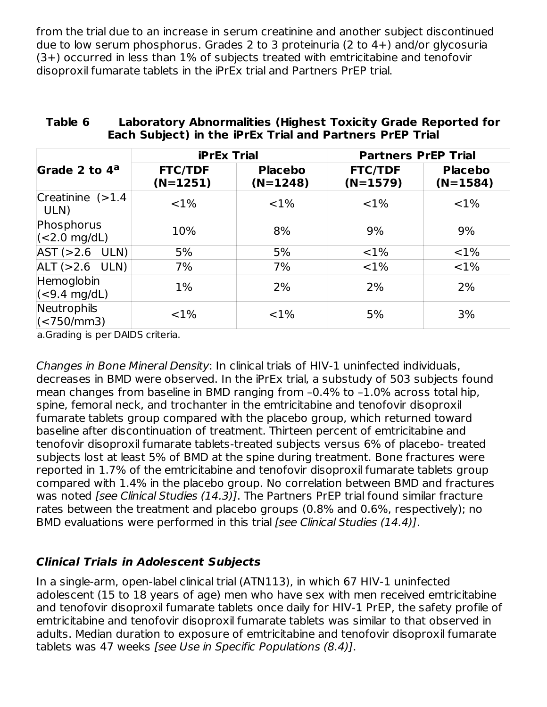from the trial due to an increase in serum creatinine and another subject discontinued due to low serum phosphorus. Grades 2 to 3 proteinuria (2 to 4+) and/or glycosuria (3+) occurred in less than 1% of subjects treated with emtricitabine and tenofovir disoproxil fumarate tablets in the iPrEx trial and Partners PrEP trial.

|                                             | <b>iPrEx Trial</b>           |                              | <b>Partners PrEP Trial</b>   |                              |
|---------------------------------------------|------------------------------|------------------------------|------------------------------|------------------------------|
| Grade 2 to 4 <sup>a</sup>                   | <b>FTC/TDF</b><br>$(N=1251)$ | <b>Placebo</b><br>$(N=1248)$ | <b>FTC/TDF</b><br>$(N=1579)$ | <b>Placebo</b><br>$(N=1584)$ |
| Creatinine $(>1.4)$<br>ULN)                 | $< 1\%$                      | $< 1\%$                      | $< 1\%$                      | $< 1\%$                      |
| Phosphorus<br>$\vert$ (<2.0 mg/dL)          | 10%                          | 8%                           | 9%                           | 9%                           |
| $AST (>2.6$ ULN)                            | 5%                           | 5%                           | $< 1\%$                      | ${<}1\%$                     |
| $ALT (>2.6$ ULN)                            | 7%                           | 7%                           | ${<}1\%$                     | ${<}1\%$                     |
| Hemoglobin<br>$\vert$ (<9.4 mg/dL)          | $1\%$                        | 2%                           | 2%                           | 2%                           |
| Neutrophils<br>$\sqrt{(550 \, \text{mm3})}$ | <1%                          | <1%                          | 5%                           | 3%                           |

#### **Table 6 Laboratory Abnormalities (Highest Toxicity Grade Reported for Each Subject) in the iPrEx Trial and Partners PrEP Trial**

a.Grading is per DAIDS criteria.

Changes in Bone Mineral Density: In clinical trials of HIV-1 uninfected individuals, decreases in BMD were observed. In the iPrEx trial, a substudy of 503 subjects found mean changes from baseline in BMD ranging from –0.4% to –1.0% across total hip, spine, femoral neck, and trochanter in the emtricitabine and tenofovir disoproxil fumarate tablets group compared with the placebo group, which returned toward baseline after discontinuation of treatment. Thirteen percent of emtricitabine and tenofovir disoproxil fumarate tablets-treated subjects versus 6% of placebo- treated subjects lost at least 5% of BMD at the spine during treatment. Bone fractures were reported in 1.7% of the emtricitabine and tenofovir disoproxil fumarate tablets group compared with 1.4% in the placebo group. No correlation between BMD and fractures was noted [see Clinical Studies (14.3)]. The Partners PrEP trial found similar fracture rates between the treatment and placebo groups (0.8% and 0.6%, respectively); no BMD evaluations were performed in this trial *[see Clinical Studies (14.4)]*.

### **Clinical Trials in Adolescent Subjects**

In a single-arm, open-label clinical trial (ATN113), in which 67 HIV-1 uninfected adolescent (15 to 18 years of age) men who have sex with men received emtricitabine and tenofovir disoproxil fumarate tablets once daily for HIV-1 PrEP, the safety profile of emtricitabine and tenofovir disoproxil fumarate tablets was similar to that observed in adults. Median duration to exposure of emtricitabine and tenofovir disoproxil fumarate tablets was 47 weeks [see Use in Specific Populations (8.4)].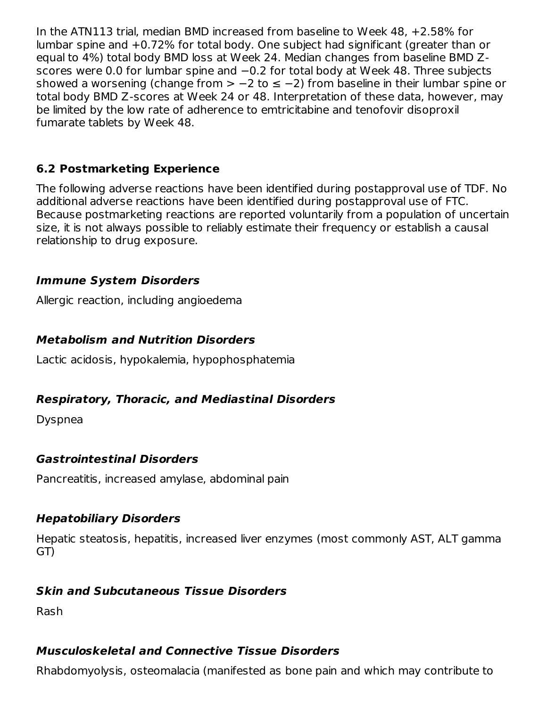In the ATN113 trial, median BMD increased from baseline to Week 48, +2.58% for lumbar spine and +0.72% for total body. One subject had significant (greater than or equal to 4%) total body BMD loss at Week 24. Median changes from baseline BMD Zscores were 0.0 for lumbar spine and −0.2 for total body at Week 48. Three subjects showed a worsening (change from > -2 to ≤ -2) from baseline in their lumbar spine or total body BMD Z-scores at Week 24 or 48. Interpretation of these data, however, may be limited by the low rate of adherence to emtricitabine and tenofovir disoproxil fumarate tablets by Week 48.

### **6.2 Postmarketing Experience**

The following adverse reactions have been identified during postapproval use of TDF. No additional adverse reactions have been identified during postapproval use of FTC. Because postmarketing reactions are reported voluntarily from a population of uncertain size, it is not always possible to reliably estimate their frequency or establish a causal relationship to drug exposure.

### **Immune System Disorders**

Allergic reaction, including angioedema

### **Metabolism and Nutrition Disorders**

Lactic acidosis, hypokalemia, hypophosphatemia

### **Respiratory, Thoracic, and Mediastinal Disorders**

Dyspnea

### **Gastrointestinal Disorders**

Pancreatitis, increased amylase, abdominal pain

#### **Hepatobiliary Disorders**

Hepatic steatosis, hepatitis, increased liver enzymes (most commonly AST, ALT gamma GT)

### **Skin and Subcutaneous Tissue Disorders**

Rash

### **Musculoskeletal and Connective Tissue Disorders**

Rhabdomyolysis, osteomalacia (manifested as bone pain and which may contribute to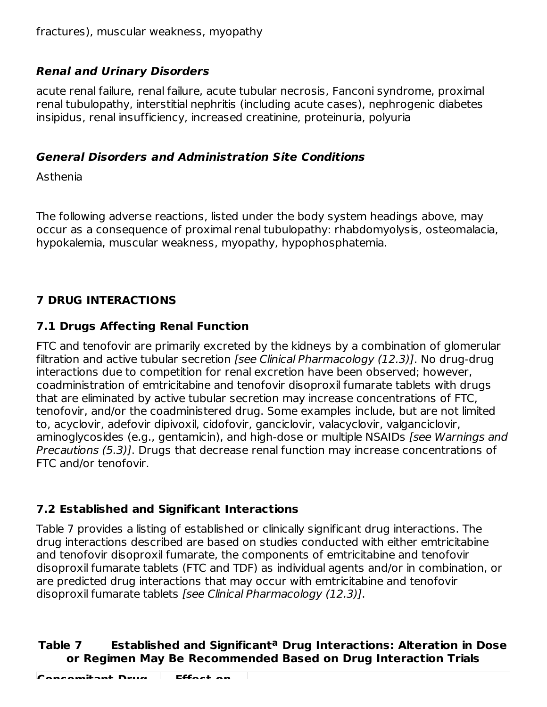## **Renal and Urinary Disorders**

acute renal failure, renal failure, acute tubular necrosis, Fanconi syndrome, proximal renal tubulopathy, interstitial nephritis (including acute cases), nephrogenic diabetes insipidus, renal insufficiency, increased creatinine, proteinuria, polyuria

### **General Disorders and Administration Site Conditions**

Asthenia

The following adverse reactions, listed under the body system headings above, may occur as a consequence of proximal renal tubulopathy: rhabdomyolysis, osteomalacia, hypokalemia, muscular weakness, myopathy, hypophosphatemia.

# **7 DRUG INTERACTIONS**

# **7.1 Drugs Affecting Renal Function**

FTC and tenofovir are primarily excreted by the kidneys by a combination of glomerular filtration and active tubular secretion [see Clinical Pharmacology (12.3)]. No drug-drug interactions due to competition for renal excretion have been observed; however, coadministration of emtricitabine and tenofovir disoproxil fumarate tablets with drugs that are eliminated by active tubular secretion may increase concentrations of FTC, tenofovir, and/or the coadministered drug. Some examples include, but are not limited to, acyclovir, adefovir dipivoxil, cidofovir, ganciclovir, valacyclovir, valganciclovir, aminoglycosides (e.g., gentamicin), and high-dose or multiple NSAIDs *[see Warnings and* Precautions (5.3)]. Drugs that decrease renal function may increase concentrations of FTC and/or tenofovir.

## **7.2 Established and Significant Interactions**

Table 7 provides a listing of established or clinically significant drug interactions. The drug interactions described are based on studies conducted with either emtricitabine and tenofovir disoproxil fumarate, the components of emtricitabine and tenofovir disoproxil fumarate tablets (FTC and TDF) as individual agents and/or in combination, or are predicted drug interactions that may occur with emtricitabine and tenofovir disoproxil fumarate tablets [see Clinical Pharmacology (12.3)].

### **Table 7 Established and Significant Drug Interactions: Alteration in Dose aor Regimen May Be Recommended Based on Drug Interaction Trials**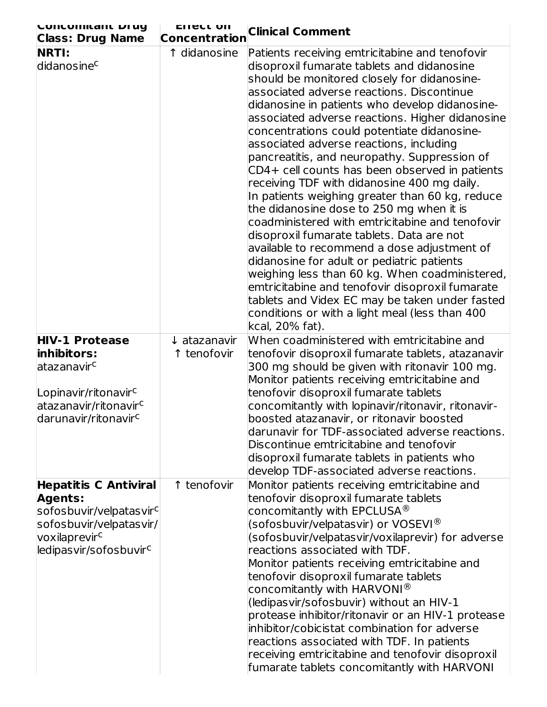| <b>LUIILUIIIILAIIL DI UY</b><br><b>Class: Drug Name</b>                                                                                                                 | <b>EITECL OIL</b><br><b>Concentration</b> | <b>Clinical Comment</b>                                                                                                                                                                                                                                                                                                                                                                                                                                                                                                                                                                                                                                                                                                                                                                                                                                                                                                                                                                                                                                          |
|-------------------------------------------------------------------------------------------------------------------------------------------------------------------------|-------------------------------------------|------------------------------------------------------------------------------------------------------------------------------------------------------------------------------------------------------------------------------------------------------------------------------------------------------------------------------------------------------------------------------------------------------------------------------------------------------------------------------------------------------------------------------------------------------------------------------------------------------------------------------------------------------------------------------------------------------------------------------------------------------------------------------------------------------------------------------------------------------------------------------------------------------------------------------------------------------------------------------------------------------------------------------------------------------------------|
| <b>NRTI:</b><br>didanosinec                                                                                                                                             | 1 didanosine                              | Patients receiving emtricitabine and tenofovir<br>disoproxil fumarate tablets and didanosine<br>should be monitored closely for didanosine-<br>associated adverse reactions. Discontinue<br>didanosine in patients who develop didanosine-<br>associated adverse reactions. Higher didanosine<br>concentrations could potentiate didanosine-<br>associated adverse reactions, including<br>pancreatitis, and neuropathy. Suppression of<br>CD4+ cell counts has been observed in patients<br>receiving TDF with didanosine 400 mg daily.<br>In patients weighing greater than 60 kg, reduce<br>the didanosine dose to 250 mg when it is<br>coadministered with emtricitabine and tenofovir<br>disoproxil fumarate tablets. Data are not<br>available to recommend a dose adjustment of<br>didanosine for adult or pediatric patients<br>weighing less than 60 kg. When coadministered,<br>emtricitabine and tenofovir disoproxil fumarate<br>tablets and Videx EC may be taken under fasted<br>conditions or with a light meal (less than 400<br>kcal, 20% fat). |
| <b>HIV-1 Protease</b><br>inhibitors:<br>atazanavirc<br>Lopinavir/ritonavir <sup>c</sup><br>atazanavir/ritonavir <sup>c</sup><br>darunavir/ritonavir <sup>c</sup>        | $\downarrow$ atazanavir<br>1 tenofovir    | When coadministered with emtricitabine and<br>tenofovir disoproxil fumarate tablets, atazanavir<br>300 mg should be given with ritonavir 100 mg.<br>Monitor patients receiving emtricitabine and<br>tenofovir disoproxil fumarate tablets<br>concomitantly with lopinavir/ritonavir, ritonavir-<br>boosted atazanavir, or ritonavir boosted<br>darunavir for TDF-associated adverse reactions.<br>Discontinue emtricitabine and tenofovir<br>disoproxil fumarate tablets in patients who<br>develop TDF-associated adverse reactions.                                                                                                                                                                                                                                                                                                                                                                                                                                                                                                                            |
| <b>Hepatitis C Antiviral</b><br><b>Agents:</b><br>sofosbuvir/velpatasvir <sup>c</sup><br>sofosbuvir/velpatasvir/<br>voxilaprevirc<br>ledipasvir/sofosbuvir <sup>c</sup> | ↑ tenofovir                               | Monitor patients receiving emtricitabine and<br>tenofovir disoproxil fumarate tablets<br>concomitantly with EPCLUSA $^{\circledR}$<br>(sofosbuvir/velpatasvir) or VOSEVI $^{\circledR}$<br>(sofosbuvir/velpatasvir/voxilaprevir) for adverse<br>$ $ reactions associated with TDF.<br>Monitor patients receiving emtricitabine and<br>tenofovir disoproxil fumarate tablets<br>concomitantly with HARVONI $^{\circledR}$<br>(ledipasvir/sofosbuvir) without an HIV-1<br>protease inhibitor/ritonavir or an HIV-1 protease<br>inhibitor/cobicistat combination for adverse<br>reactions associated with TDF. In patients<br>receiving emtricitabine and tenofovir disoproxil<br>fumarate tablets concomitantly with HARVONI                                                                                                                                                                                                                                                                                                                                       |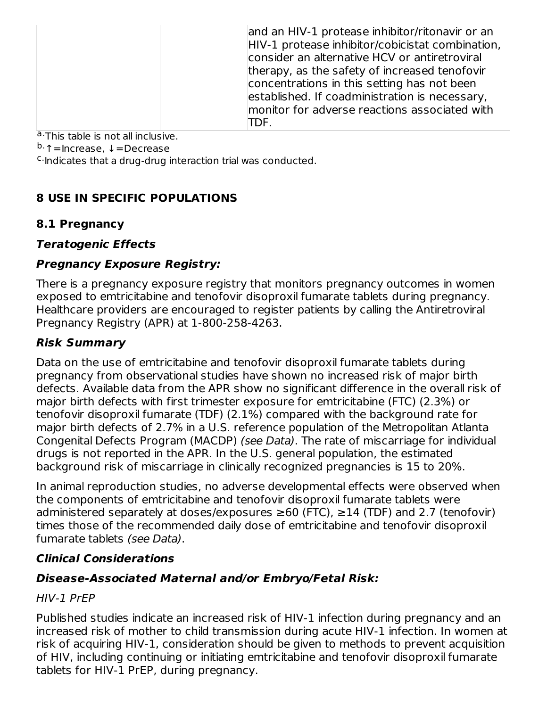|  | and an HIV-1 protease inhibitor/ritonavir or an<br>HIV-1 protease inhibitor/cobicistat combination,<br>consider an alternative HCV or antiretroviral<br>therapy, as the safety of increased tenofovir<br>concentrations in this setting has not been<br>established. If coadministration is necessary,<br>monitor for adverse reactions associated with<br>TDF. |
|--|-----------------------------------------------------------------------------------------------------------------------------------------------------------------------------------------------------------------------------------------------------------------------------------------------------------------------------------------------------------------|
|--|-----------------------------------------------------------------------------------------------------------------------------------------------------------------------------------------------------------------------------------------------------------------------------------------------------------------------------------------------------------------|

a. This table is not all inclusive.

<sup>b.</sup>↑=Increase, ↓=Decrease

<sup>c.</sup> Indicates that a drug-drug interaction trial was conducted.

### **8 USE IN SPECIFIC POPULATIONS**

### **8.1 Pregnancy**

### **Teratogenic Effects**

### **Pregnancy Exposure Registry:**

There is a pregnancy exposure registry that monitors pregnancy outcomes in women exposed to emtricitabine and tenofovir disoproxil fumarate tablets during pregnancy. Healthcare providers are encouraged to register patients by calling the Antiretroviral Pregnancy Registry (APR) at 1-800-258-4263.

### **Risk Summary**

Data on the use of emtricitabine and tenofovir disoproxil fumarate tablets during pregnancy from observational studies have shown no increased risk of major birth defects. Available data from the APR show no significant difference in the overall risk of major birth defects with first trimester exposure for emtricitabine (FTC) (2.3%) or tenofovir disoproxil fumarate (TDF) (2.1%) compared with the background rate for major birth defects of 2.7% in a U.S. reference population of the Metropolitan Atlanta Congenital Defects Program (MACDP) (see Data). The rate of miscarriage for individual drugs is not reported in the APR. In the U.S. general population, the estimated background risk of miscarriage in clinically recognized pregnancies is 15 to 20%.

In animal reproduction studies, no adverse developmental effects were observed when the components of emtricitabine and tenofovir disoproxil fumarate tablets were administered separately at doses/exposures  $\geq 60$  (FTC),  $\geq 14$  (TDF) and 2.7 (tenofovir) times those of the recommended daily dose of emtricitabine and tenofovir disoproxil fumarate tablets (see Data).

### **Clinical Considerations**

#### **Disease-Associated Maternal and/or Embryo/Fetal Risk:**

#### HIV-1 PrEP

Published studies indicate an increased risk of HIV-1 infection during pregnancy and an increased risk of mother to child transmission during acute HIV-1 infection. In women at risk of acquiring HIV-1, consideration should be given to methods to prevent acquisition of HIV, including continuing or initiating emtricitabine and tenofovir disoproxil fumarate tablets for HIV-1 PrEP, during pregnancy.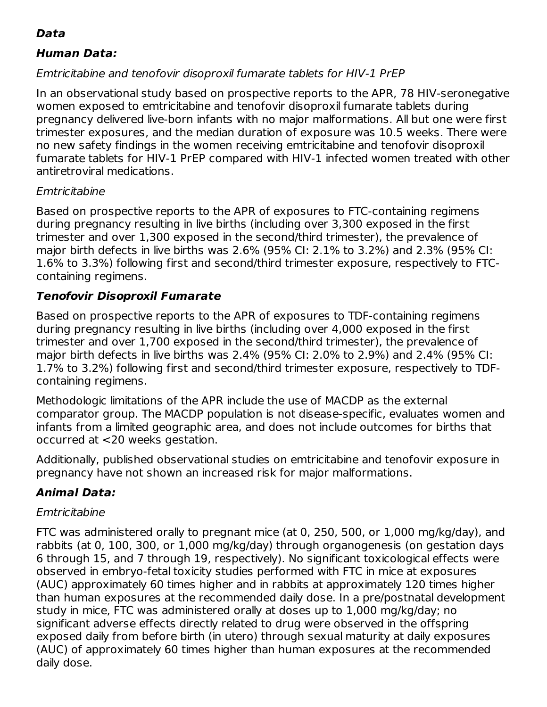## **Data**

### **Human Data:**

### Emtricitabine and tenofovir disoproxil fumarate tablets for HIV-1 PrEP

In an observational study based on prospective reports to the APR, 78 HIV-seronegative women exposed to emtricitabine and tenofovir disoproxil fumarate tablets during pregnancy delivered live-born infants with no major malformations. All but one were first trimester exposures, and the median duration of exposure was 10.5 weeks. There were no new safety findings in the women receiving emtricitabine and tenofovir disoproxil fumarate tablets for HIV-1 PrEP compared with HIV-1 infected women treated with other antiretroviral medications.

### Emtricitabine

Based on prospective reports to the APR of exposures to FTC-containing regimens during pregnancy resulting in live births (including over 3,300 exposed in the first trimester and over 1,300 exposed in the second/third trimester), the prevalence of major birth defects in live births was 2.6% (95% CI: 2.1% to 3.2%) and 2.3% (95% CI: 1.6% to 3.3%) following first and second/third trimester exposure, respectively to FTCcontaining regimens.

### **Tenofovir Disoproxil Fumarate**

Based on prospective reports to the APR of exposures to TDF-containing regimens during pregnancy resulting in live births (including over 4,000 exposed in the first trimester and over 1,700 exposed in the second/third trimester), the prevalence of major birth defects in live births was 2.4% (95% CI: 2.0% to 2.9%) and 2.4% (95% CI: 1.7% to 3.2%) following first and second/third trimester exposure, respectively to TDFcontaining regimens.

Methodologic limitations of the APR include the use of MACDP as the external comparator group. The MACDP population is not disease-specific, evaluates women and infants from a limited geographic area, and does not include outcomes for births that occurred at <20 weeks gestation.

Additionally, published observational studies on emtricitabine and tenofovir exposure in pregnancy have not shown an increased risk for major malformations.

## **Animal Data:**

### **Emtricitabine**

FTC was administered orally to pregnant mice (at 0, 250, 500, or 1,000 mg/kg/day), and rabbits (at 0, 100, 300, or 1,000 mg/kg/day) through organogenesis (on gestation days 6 through 15, and 7 through 19, respectively). No significant toxicological effects were observed in embryo-fetal toxicity studies performed with FTC in mice at exposures (AUC) approximately 60 times higher and in rabbits at approximately 120 times higher than human exposures at the recommended daily dose. In a pre/postnatal development study in mice, FTC was administered orally at doses up to 1,000 mg/kg/day; no significant adverse effects directly related to drug were observed in the offspring exposed daily from before birth (in utero) through sexual maturity at daily exposures (AUC) of approximately 60 times higher than human exposures at the recommended daily dose.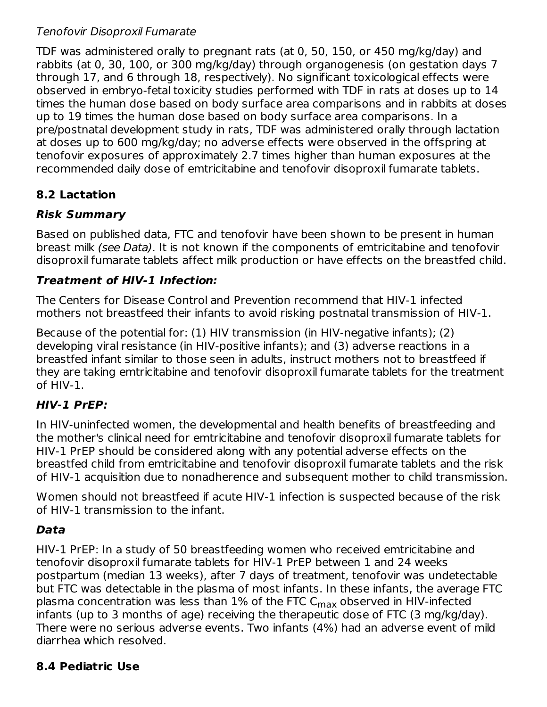### Tenofovir Disoproxil Fumarate

TDF was administered orally to pregnant rats (at 0, 50, 150, or 450 mg/kg/day) and rabbits (at 0, 30, 100, or 300 mg/kg/day) through organogenesis (on gestation days 7 through 17, and 6 through 18, respectively). No significant toxicological effects were observed in embryo-fetal toxicity studies performed with TDF in rats at doses up to 14 times the human dose based on body surface area comparisons and in rabbits at doses up to 19 times the human dose based on body surface area comparisons. In a pre/postnatal development study in rats, TDF was administered orally through lactation at doses up to 600 mg/kg/day; no adverse effects were observed in the offspring at tenofovir exposures of approximately 2.7 times higher than human exposures at the recommended daily dose of emtricitabine and tenofovir disoproxil fumarate tablets.

### **8.2 Lactation**

### **Risk Summary**

Based on published data, FTC and tenofovir have been shown to be present in human breast milk (see Data). It is not known if the components of emtricitabine and tenofovir disoproxil fumarate tablets affect milk production or have effects on the breastfed child.

### **Treatment of HIV-1 Infection:**

The Centers for Disease Control and Prevention recommend that HIV-1 infected mothers not breastfeed their infants to avoid risking postnatal transmission of HIV-1.

Because of the potential for: (1) HIV transmission (in HIV-negative infants); (2) developing viral resistance (in HIV-positive infants); and (3) adverse reactions in a breastfed infant similar to those seen in adults, instruct mothers not to breastfeed if they are taking emtricitabine and tenofovir disoproxil fumarate tablets for the treatment of HIV-1.

### **HIV-1 PrEP:**

In HIV-uninfected women, the developmental and health benefits of breastfeeding and the mother's clinical need for emtricitabine and tenofovir disoproxil fumarate tablets for HIV-1 PrEP should be considered along with any potential adverse effects on the breastfed child from emtricitabine and tenofovir disoproxil fumarate tablets and the risk of HIV-1 acquisition due to nonadherence and subsequent mother to child transmission.

Women should not breastfeed if acute HIV-1 infection is suspected because of the risk of HIV-1 transmission to the infant.

### **Data**

HIV-1 PrEP: In a study of 50 breastfeeding women who received emtricitabine and tenofovir disoproxil fumarate tablets for HIV-1 PrEP between 1 and 24 weeks postpartum (median 13 weeks), after 7 days of treatment, tenofovir was undetectable but FTC was detectable in the plasma of most infants. In these infants, the average FTC plasma concentration was less than 1% of the FTC C<sub>max</sub> observed in HIV-infected infants (up to 3 months of age) receiving the therapeutic dose of FTC (3 mg/kg/day). There were no serious adverse events. Two infants (4%) had an adverse event of mild diarrhea which resolved.

### **8.4 Pediatric Use**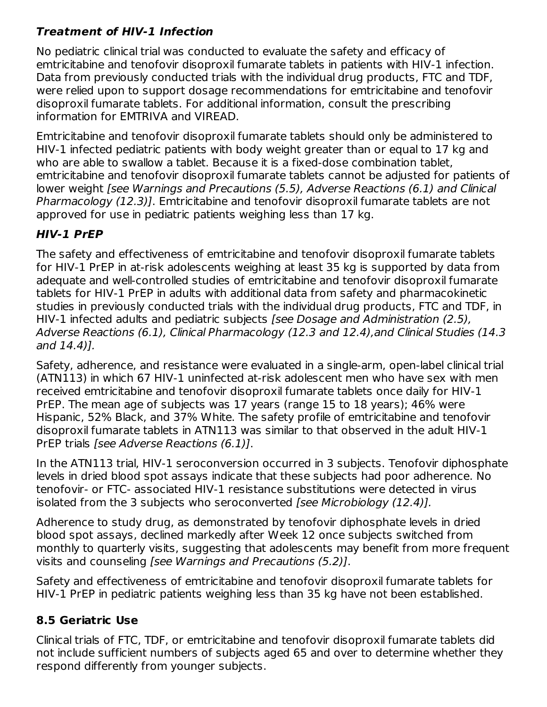## **Treatment of HIV-1 Infection**

No pediatric clinical trial was conducted to evaluate the safety and efficacy of emtricitabine and tenofovir disoproxil fumarate tablets in patients with HIV-1 infection. Data from previously conducted trials with the individual drug products, FTC and TDF, were relied upon to support dosage recommendations for emtricitabine and tenofovir disoproxil fumarate tablets. For additional information, consult the prescribing information for EMTRIVA and VIREAD.

Emtricitabine and tenofovir disoproxil fumarate tablets should only be administered to HIV-1 infected pediatric patients with body weight greater than or equal to 17 kg and who are able to swallow a tablet. Because it is a fixed-dose combination tablet, emtricitabine and tenofovir disoproxil fumarate tablets cannot be adjusted for patients of lower weight [see Warnings and Precautions (5.5), Adverse Reactions (6.1) and Clinical Pharmacology (12.3)]. Emtricitabine and tenofovir disoproxil fumarate tablets are not approved for use in pediatric patients weighing less than 17 kg.

### **HIV-1 PrEP**

The safety and effectiveness of emtricitabine and tenofovir disoproxil fumarate tablets for HIV-1 PrEP in at-risk adolescents weighing at least 35 kg is supported by data from adequate and well-controlled studies of emtricitabine and tenofovir disoproxil fumarate tablets for HIV-1 PrEP in adults with additional data from safety and pharmacokinetic studies in previously conducted trials with the individual drug products, FTC and TDF, in HIV-1 infected adults and pediatric subjects [see Dosage and Administration (2.5), Adverse Reactions (6.1), Clinical Pharmacology (12.3 and 12.4),and Clinical Studies (14.3 and 14.4)].

Safety, adherence, and resistance were evaluated in a single-arm, open-label clinical trial (ATN113) in which 67 HIV-1 uninfected at-risk adolescent men who have sex with men received emtricitabine and tenofovir disoproxil fumarate tablets once daily for HIV-1 PrEP. The mean age of subjects was 17 years (range 15 to 18 years); 46% were Hispanic, 52% Black, and 37% White. The safety profile of emtricitabine and tenofovir disoproxil fumarate tablets in ATN113 was similar to that observed in the adult HIV-1 PrEP trials [see Adverse Reactions (6.1)].

In the ATN113 trial, HIV-1 seroconversion occurred in 3 subjects. Tenofovir diphosphate levels in dried blood spot assays indicate that these subjects had poor adherence. No tenofovir- or FTC- associated HIV-1 resistance substitutions were detected in virus isolated from the 3 subjects who seroconverted [see Microbiology (12.4)].

Adherence to study drug, as demonstrated by tenofovir diphosphate levels in dried blood spot assays, declined markedly after Week 12 once subjects switched from monthly to quarterly visits, suggesting that adolescents may benefit from more frequent visits and counseling [see Warnings and Precautions (5.2)].

Safety and effectiveness of emtricitabine and tenofovir disoproxil fumarate tablets for HIV-1 PrEP in pediatric patients weighing less than 35 kg have not been established.

## **8.5 Geriatric Use**

Clinical trials of FTC, TDF, or emtricitabine and tenofovir disoproxil fumarate tablets did not include sufficient numbers of subjects aged 65 and over to determine whether they respond differently from younger subjects.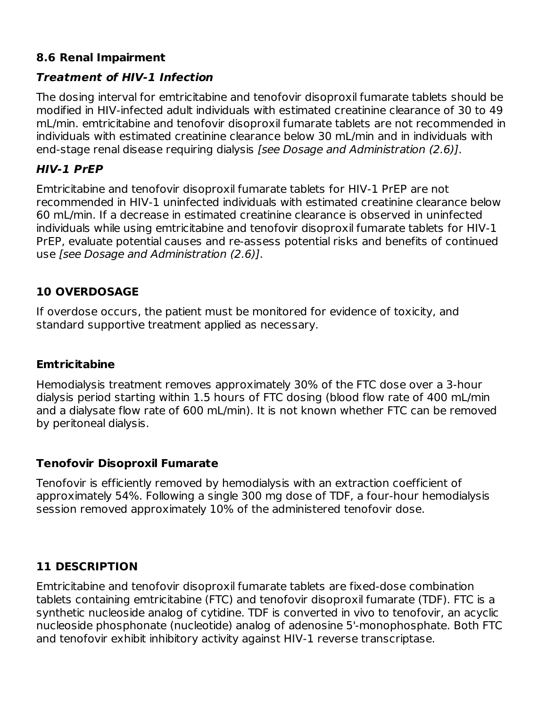### **8.6 Renal Impairment**

### **Treatment of HIV-1 Infection**

The dosing interval for emtricitabine and tenofovir disoproxil fumarate tablets should be modified in HIV-infected adult individuals with estimated creatinine clearance of 30 to 49 mL/min. emtricitabine and tenofovir disoproxil fumarate tablets are not recommended in individuals with estimated creatinine clearance below 30 mL/min and in individuals with end-stage renal disease requiring dialysis [see Dosage and Administration (2.6)].

#### **HIV-1 PrEP**

Emtricitabine and tenofovir disoproxil fumarate tablets for HIV-1 PrEP are not recommended in HIV-1 uninfected individuals with estimated creatinine clearance below 60 mL/min. If a decrease in estimated creatinine clearance is observed in uninfected individuals while using emtricitabine and tenofovir disoproxil fumarate tablets for HIV-1 PrEP, evaluate potential causes and re-assess potential risks and benefits of continued use [see Dosage and Administration (2.6)].

### **10 OVERDOSAGE**

If overdose occurs, the patient must be monitored for evidence of toxicity, and standard supportive treatment applied as necessary.

#### **Emtricitabine**

Hemodialysis treatment removes approximately 30% of the FTC dose over a 3-hour dialysis period starting within 1.5 hours of FTC dosing (blood flow rate of 400 mL/min and a dialysate flow rate of 600 mL/min). It is not known whether FTC can be removed by peritoneal dialysis.

#### **Tenofovir Disoproxil Fumarate**

Tenofovir is efficiently removed by hemodialysis with an extraction coefficient of approximately 54%. Following a single 300 mg dose of TDF, a four-hour hemodialysis session removed approximately 10% of the administered tenofovir dose.

#### **11 DESCRIPTION**

Emtricitabine and tenofovir disoproxil fumarate tablets are fixed-dose combination tablets containing emtricitabine (FTC) and tenofovir disoproxil fumarate (TDF). FTC is a synthetic nucleoside analog of cytidine. TDF is converted in vivo to tenofovir, an acyclic nucleoside phosphonate (nucleotide) analog of adenosine 5'-monophosphate. Both FTC and tenofovir exhibit inhibitory activity against HIV-1 reverse transcriptase.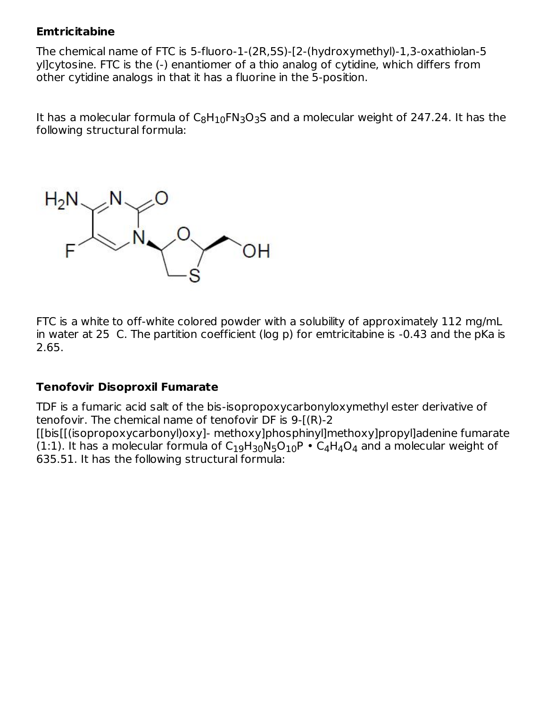#### **Emtricitabine**

The chemical name of FTC is 5-fluoro-1-(2R,5S)-[2-(hydroxymethyl)-1,3-oxathiolan-5 yl]cytosine. FTC is the (-) enantiomer of a thio analog of cytidine, which differs from other cytidine analogs in that it has a fluorine in the 5-position.

It has a molecular formula of  $\mathsf{C}_8\mathsf{H}_{10}\mathsf{FN}_3\mathsf{O}_3\mathsf{S}$  and a molecular weight of 247.24. It has the following structural formula:

$$
H_2N \times N \times O
$$

FTC is a white to off-white colored powder with a solubility of approximately 112 mg/mL in water at 25 C. The partition coefficient (log p) for emtricitabine is -0.43 and the pKa is 2.65.

### **Tenofovir Disoproxil Fumarate**

TDF is a fumaric acid salt of the bis-isopropoxycarbonyloxymethyl ester derivative of tenofovir. The chemical name of tenofovir DF is 9-[(R)-2 [[bis[[(isopropoxycarbonyl)oxy]- methoxy]phosphinyl]methoxy]propyl]adenine fumarate (1:1). It has a molecular formula of  $\mathsf{C}_1$ 9H30N5O $_{10}$ P  $\bullet$  C4H4O4 and a molecular weight of 635.51. It has the following structural formula: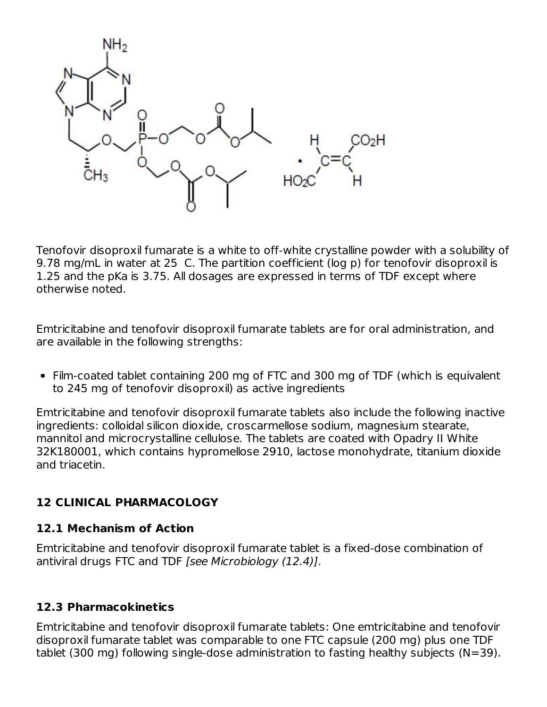

Tenofovir disoproxil fumarate is a white to off-white crystalline powder with a solubility of 9.78 mg/mL in water at 25 C. The partition coefficient (log p) for tenofovir disoproxil is 1.25 and the pKa is 3.75. All dosages are expressed in terms of TDF except where otherwise noted.

Emtricitabine and tenofovir disoproxil fumarate tablets are for oral administration, and are available in the following strengths:

Film-coated tablet containing 200 mg of FTC and 300 mg of TDF (which is equivalent to 245 mg of tenofovir disoproxil) as active ingredients

Emtricitabine and tenofovir disoproxil fumarate tablets also include the following inactive ingredients: colloidal silicon dioxide, croscarmellose sodium, magnesium stearate, mannitol and microcrystalline cellulose. The tablets are coated with Opadry II White 32K180001, which contains hypromellose 2910, lactose monohydrate, titanium dioxide and triacetin.

### **12 CLINICAL PHARMACOLOGY**

### **12.1 Mechanism of Action**

Emtricitabine and tenofovir disoproxil fumarate tablet is a fixed-dose combination of antiviral drugs FTC and TDF [see Microbiology (12.4)].

### **12.3 Pharmacokinetics**

Emtricitabine and tenofovir disoproxil fumarate tablets: One emtricitabine and tenofovir disoproxil fumarate tablet was comparable to one FTC capsule (200 mg) plus one TDF tablet (300 mg) following single-dose administration to fasting healthy subjects (N=39).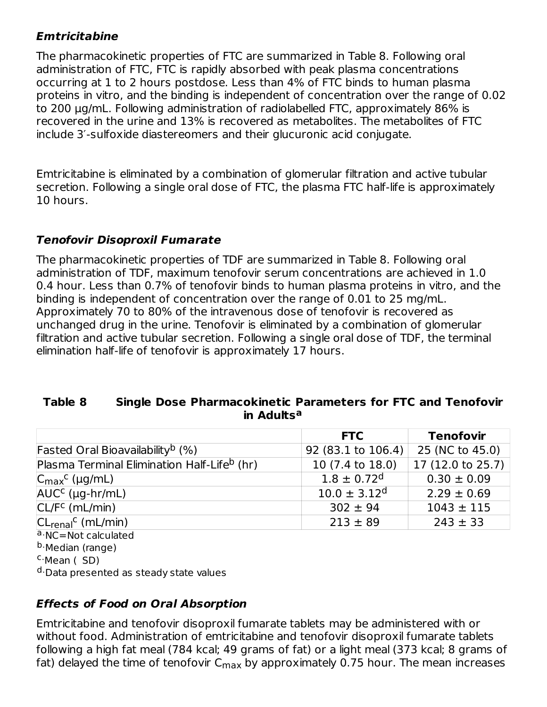### **Emtricitabine**

The pharmacokinetic properties of FTC are summarized in Table 8. Following oral administration of FTC, FTC is rapidly absorbed with peak plasma concentrations occurring at 1 to 2 hours postdose. Less than 4% of FTC binds to human plasma proteins in vitro, and the binding is independent of concentration over the range of 0.02 to 200 μg/mL. Following administration of radiolabelled FTC, approximately 86% is recovered in the urine and 13% is recovered as metabolites. The metabolites of FTC include 3′-sulfoxide diastereomers and their glucuronic acid conjugate.

Emtricitabine is eliminated by a combination of glomerular filtration and active tubular secretion. Following a single oral dose of FTC, the plasma FTC half-life is approximately 10 hours.

### **Tenofovir Disoproxil Fumarate**

The pharmacokinetic properties of TDF are summarized in Table 8. Following oral administration of TDF, maximum tenofovir serum concentrations are achieved in 1.0 0.4 hour. Less than 0.7% of tenofovir binds to human plasma proteins in vitro, and the binding is independent of concentration over the range of 0.01 to 25 mg/mL. Approximately 70 to 80% of the intravenous dose of tenofovir is recovered as unchanged drug in the urine. Tenofovir is eliminated by a combination of glomerular filtration and active tubular secretion. Following a single oral dose of TDF, the terminal elimination half-life of tenofovir is approximately 17 hours.

#### **Table 8 Single Dose Pharmacokinetic Parameters for FTC and Tenofovir in Adults a**

|                                                         | <b>FTC</b>                  | <b>Tenofovir</b>  |
|---------------------------------------------------------|-----------------------------|-------------------|
| Fasted Oral Bioavailability <sup>b</sup> (%)            | 92 (83.1 to 106.4)          | 25 (NC to 45.0)   |
| Plasma Terminal Elimination Half-Life <sup>b</sup> (hr) | 10 (7.4 to 18.0)            | 17 (12.0 to 25.7) |
| $ C_{\text{max}}^{\text{c}}$ (µg/mL)                    | $1.8 \pm 0.72$ <sup>d</sup> | $0.30 \pm 0.09$   |
| $AUCc$ (µg-hr/mL)                                       | $10.0 \pm 3.12^d$           | $2.29 \pm 0.69$   |
| $CL/Fc$ (mL/min)                                        | $302 \pm 94$                | $1043 \pm 115$    |
| $ CLrenalC$ (mL/min)                                    | $213 \pm 89$                | $243 \pm 33$      |
| a NC=Not calculated                                     |                             |                   |
| <sup>b</sup> ·Median (range)                            |                             |                   |

<sup>C</sup>·Mean (SD)

<sup>d.</sup>Data presented as steady state values

### **Effects of Food on Oral Absorption**

Emtricitabine and tenofovir disoproxil fumarate tablets may be administered with or without food. Administration of emtricitabine and tenofovir disoproxil fumarate tablets following a high fat meal (784 kcal; 49 grams of fat) or a light meal (373 kcal; 8 grams of fat) delayed the time of tenofovir C $_{\sf max}$  by approximately 0.75 hour. The mean increases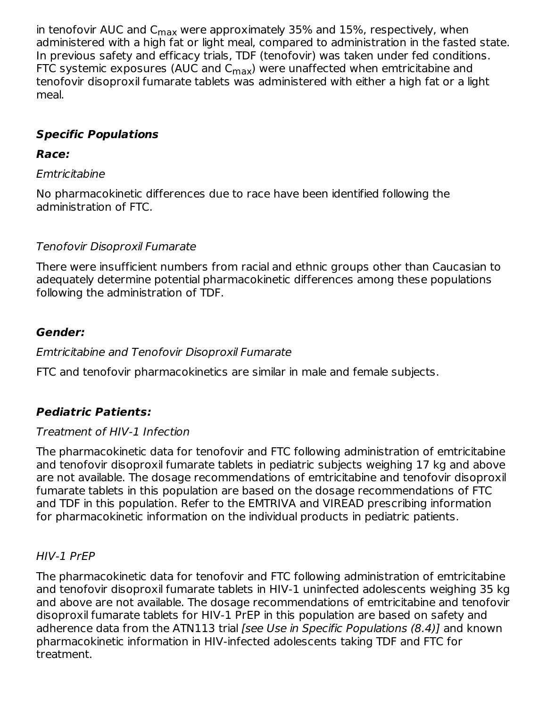in tenofovir AUC and  $\mathsf{C}_{\mathsf{max}}$  were approximately 35% and 15%, respectively, when administered with a high fat or light meal, compared to administration in the fasted state. In previous safety and efficacy trials, TDF (tenofovir) was taken under fed conditions. FTC systemic exposures (AUC and C $_{\sf max}$ ) were unaffected when emtricitabine and tenofovir disoproxil fumarate tablets was administered with either a high fat or a light meal.

### **Specific Populations**

### **Race:**

### Emtricitabine

No pharmacokinetic differences due to race have been identified following the administration of FTC.

### Tenofovir Disoproxil Fumarate

There were insufficient numbers from racial and ethnic groups other than Caucasian to adequately determine potential pharmacokinetic differences among these populations following the administration of TDF.

### **Gender:**

### Emtricitabine and Tenofovir Disoproxil Fumarate

FTC and tenofovir pharmacokinetics are similar in male and female subjects.

# **Pediatric Patients:**

## Treatment of HIV-1 Infection

The pharmacokinetic data for tenofovir and FTC following administration of emtricitabine and tenofovir disoproxil fumarate tablets in pediatric subjects weighing 17 kg and above are not available. The dosage recommendations of emtricitabine and tenofovir disoproxil fumarate tablets in this population are based on the dosage recommendations of FTC and TDF in this population. Refer to the EMTRIVA and VIREAD prescribing information for pharmacokinetic information on the individual products in pediatric patients.

### HIV-1 PrEP

The pharmacokinetic data for tenofovir and FTC following administration of emtricitabine and tenofovir disoproxil fumarate tablets in HIV-1 uninfected adolescents weighing 35 kg and above are not available. The dosage recommendations of emtricitabine and tenofovir disoproxil fumarate tablets for HIV-1 PrEP in this population are based on safety and adherence data from the ATN113 trial [see Use in Specific Populations (8.4)] and known pharmacokinetic information in HIV-infected adolescents taking TDF and FTC for treatment.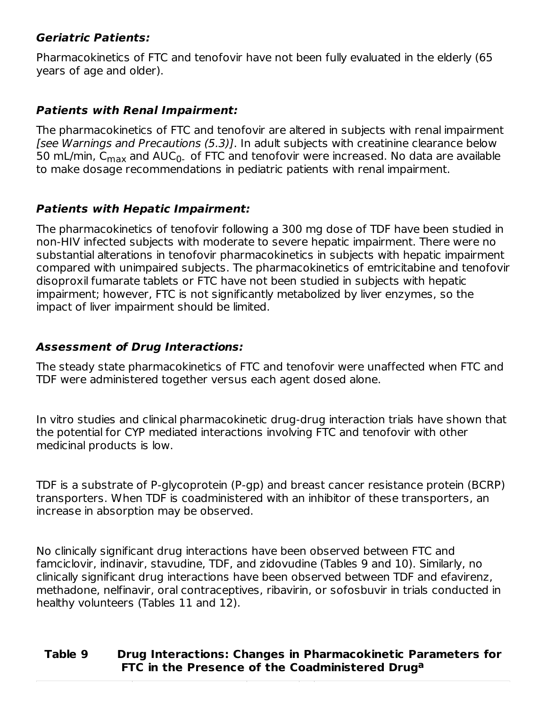#### **Geriatric Patients:**

Pharmacokinetics of FTC and tenofovir have not been fully evaluated in the elderly (65 years of age and older).

#### **Patients with Renal Impairment:**

The pharmacokinetics of FTC and tenofovir are altered in subjects with renal impairment [see Warnings and Precautions (5.3)]. In adult subjects with creatinine clearance below 50 mL/min, C $_{\sf max}$  and AUC $_0$ . of FTC and tenofovir were increased. No data are available to make dosage recommendations in pediatric patients with renal impairment.

#### **Patients with Hepatic Impairment:**

The pharmacokinetics of tenofovir following a 300 mg dose of TDF have been studied in non-HIV infected subjects with moderate to severe hepatic impairment. There were no substantial alterations in tenofovir pharmacokinetics in subjects with hepatic impairment compared with unimpaired subjects. The pharmacokinetics of emtricitabine and tenofovir disoproxil fumarate tablets or FTC have not been studied in subjects with hepatic impairment; however, FTC is not significantly metabolized by liver enzymes, so the impact of liver impairment should be limited.

#### **Assessment of Drug Interactions:**

The steady state pharmacokinetics of FTC and tenofovir were unaffected when FTC and TDF were administered together versus each agent dosed alone.

In vitro studies and clinical pharmacokinetic drug-drug interaction trials have shown that the potential for CYP mediated interactions involving FTC and tenofovir with other medicinal products is low.

TDF is a substrate of P-glycoprotein (P-gp) and breast cancer resistance protein (BCRP) transporters. When TDF is coadministered with an inhibitor of these transporters, an increase in absorption may be observed.

No clinically significant drug interactions have been observed between FTC and famciclovir, indinavir, stavudine, TDF, and zidovudine (Tables 9 and 10). Similarly, no clinically significant drug interactions have been observed between TDF and efavirenz, methadone, nelfinavir, oral contraceptives, ribavirin, or sofosbuvir in trials conducted in healthy volunteers (Tables 11 and 12).

### **Table 9 Drug Interactions: Changes in Pharmacokinetic Parameters for FTC in the Presence of the Coadministered Drug a**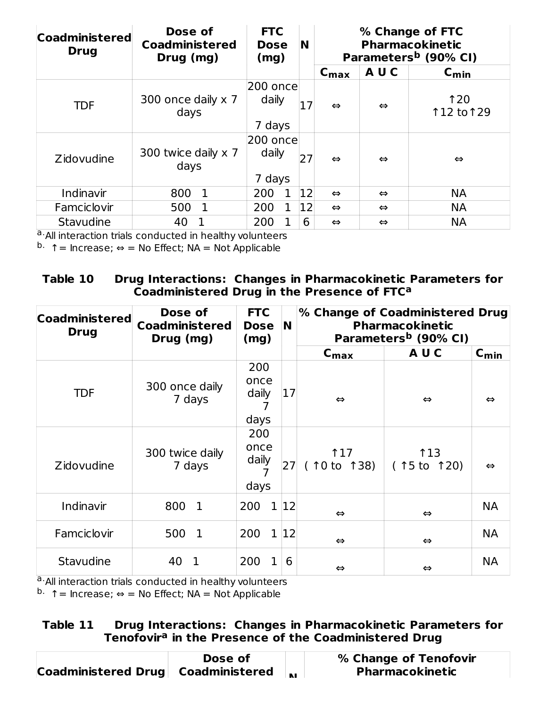| <b>Coadministered</b><br><b>Drug</b> | Dose of<br><b>Coadministered</b><br>Drug (mg) | <b>FTC</b><br><b>Dose</b><br>(mg) |   | N  |                   | % Change of FTC<br><b>Pharmacokinetic</b><br>Parameters <sup>b</sup> (90% CI) |                          |  |
|--------------------------------------|-----------------------------------------------|-----------------------------------|---|----|-------------------|-------------------------------------------------------------------------------|--------------------------|--|
|                                      |                                               |                                   |   |    | $C_{\text{max}}$  | AUC                                                                           | $C_{\text{min}}$         |  |
| <b>TDF</b>                           | 300 once daily x 7<br>days                    | 200 once<br>daily<br>7 days       |   | 17 | $\Leftrightarrow$ | $\Leftrightarrow$                                                             | <b>120</b><br>112 to 129 |  |
| <b>Zidovudine</b>                    | 300 twice daily x 7<br>days                   | 200 oncel<br>daily<br>7 days      |   | 27 | $\Leftrightarrow$ | $\Leftrightarrow$                                                             | $\Leftrightarrow$        |  |
| Indinavir                            | $\mathbf{1}$<br>800                           | 200                               | 1 | 12 | $\Leftrightarrow$ | $\Leftrightarrow$                                                             | <b>NA</b>                |  |
| Famciclovir                          | 1<br>500                                      | 200                               |   | 12 | $\Leftrightarrow$ | $\Leftrightarrow$                                                             | <b>NA</b>                |  |
| Stavudine                            | 40                                            | 200                               |   | 6  | $\Leftrightarrow$ | $\Leftrightarrow$                                                             | <b>NA</b>                |  |

a. All interaction trials conducted in healthy volunteers

 $b.$  ↑ = Increase;  $\Leftrightarrow$  = No Effect; NA = Not Applicable

**Table 10 Drug Interactions: Changes in Pharmacokinetic Parameters for Coadministered Drug in the Presence of FTC a**

| <b>Coadministered</b><br><b>Drug</b> | Dose of<br><b>Coadministered</b><br>Drug (mg) | <b>FTC</b><br><b>Dose</b><br>(mg) | N  |                                        | % Change of Coadministered Drug<br><b>Pharmacokinetic</b><br>Parameters <sup>b</sup> (90% CI) |                   |  |
|--------------------------------------|-----------------------------------------------|-----------------------------------|----|----------------------------------------|-----------------------------------------------------------------------------------------------|-------------------|--|
|                                      |                                               |                                   |    | $C_{\text{max}}$                       | AUC                                                                                           | $C_{min}$         |  |
| <b>TDF</b>                           | 300 once daily<br>7 days                      | 200<br>once<br>daily<br>days      | 17 | $\Leftrightarrow$<br>$\Leftrightarrow$ |                                                                                               | $\Leftrightarrow$ |  |
| <b>Zidovudine</b>                    | 300 twice daily<br>7 days                     | 200<br>once<br>daily<br>days      | 27 | 17<br>(10 to 138)                      | <b>113</b><br>(15 to 120)                                                                     | $\Leftrightarrow$ |  |
| Indinavir                            | 800<br>$\mathbf{1}$                           | $\mathbf{1}$<br>200               | 12 | $\Leftrightarrow$                      | $\Leftrightarrow$                                                                             | <b>NA</b>         |  |
| Famciclovir                          | 500<br>$\mathbf{1}$                           | 200<br>$\mathbf{1}$               | 12 | $\Leftrightarrow$                      | $\Leftrightarrow$                                                                             | <b>NA</b>         |  |
| Stavudine                            | 40<br>1                                       | 200<br>1                          | 6  | $\Leftrightarrow$                      | $\Leftrightarrow$                                                                             | <b>NA</b>         |  |

a. All interaction trials conducted in healthy volunteers

 $b.$  ↑ = Increase; ⇔ = No Effect; NA = Not Applicable

#### **Table 11 Drug Interactions: Changes in Pharmacokinetic Parameters for Tenofovir in the Presence of the Coadministered Drug a**

|                                    | Dose of |              | % Change of Tenofovir  |
|------------------------------------|---------|--------------|------------------------|
| Coadministered Drug Coadministered |         | $\mathbf{A}$ | <b>Pharmacokinetic</b> |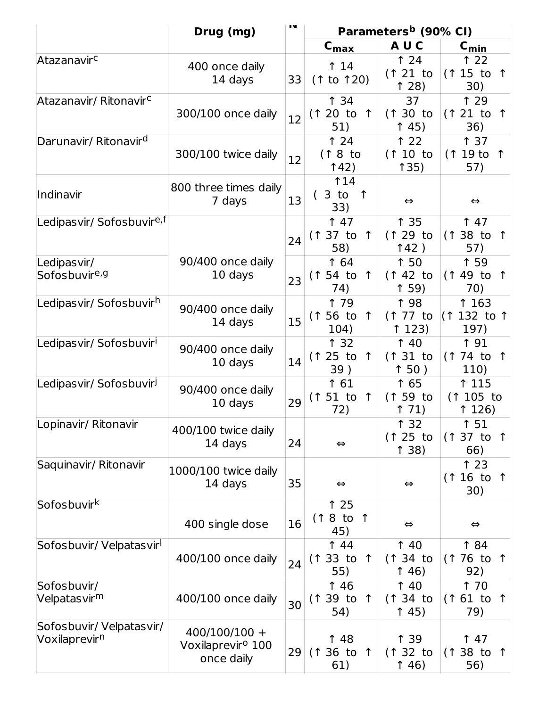|                                                      | Drug (mg)                                                      | IV |                                               |                                      | Parameters <sup>b</sup> (90% CI)              |  |  |
|------------------------------------------------------|----------------------------------------------------------------|----|-----------------------------------------------|--------------------------------------|-----------------------------------------------|--|--|
|                                                      |                                                                |    | $C_{\text{max}}$                              | AUC                                  | $C_{\text{min}}$                              |  |  |
| Atazanavirc                                          | 400 once daily<br>14 days                                      | 33 | 14<br>(1 to 120)                              | 124<br>$(121)$ to<br>128             | 122<br>$(115 \text{ to } 1)$<br>30)           |  |  |
| Atazanavir/ Ritonavir <sup>c</sup>                   | 300/100 once daily                                             | 12 | <b>134</b><br>(1 20 to<br>$\uparrow$<br>51)   | 37<br>(130 to<br>145)                | <b>129</b><br>(121 to<br>$\uparrow$<br>36)    |  |  |
| Darunavir/ Ritonavir <sup>d</sup>                    | 300/100 twice daily                                            | 12 | 124<br>(18 to<br>142)                         | 122<br>$(110)$ to<br>135)            | 137<br>(119t0)<br>57)                         |  |  |
| Indinavir                                            | 800 three times daily<br>7 days                                | 13 | 14<br>3 to<br>$\uparrow$<br>33)               | $\Leftrightarrow$                    | $\Leftrightarrow$                             |  |  |
| Ledipasvir/ Sofosbuvir <sup>e,f</sup><br>Ledipasvir/ | 90/400 once daily                                              | 24 | 147<br>$(137)$ to 1<br>58)<br><b>164</b>      | ↑ 35<br>$(129)$ to<br>142)<br>150    | 147<br>$(138$ to 1<br>57)<br>1 59             |  |  |
| Sofosbuvir <sup>e,g</sup>                            | 10 days                                                        | 23 | $(154$ to<br>$\uparrow$<br>74)                | $(142)$ to<br>159)                   | $(149)$ to<br>↑<br>70)                        |  |  |
| Ledipasvir/ Sofosbuvir <sup>h</sup>                  | 90/400 once daily<br>14 days                                   | 15 | 1 79<br>$(156$ to<br>$\uparrow$<br>104)       | <b>198</b><br>$(177$ to<br>123)      | 163<br>(1 132 to 1<br>197)                    |  |  |
| Ledipasvir/ Sofosbuvir <sup>i</sup>                  | 90/400 once daily<br>10 days                                   | 14 | <b>132</b><br>(125 to<br>$\uparrow$<br>39)    | 140<br>$(131)$ to<br>150)            | ↑ 91<br>$(174$ to 1<br>110)                   |  |  |
| Ledipas vir/ Sofosbuvir <sup>j</sup>                 | 90/400 once daily<br>10 days                                   | 29 | <b>↑ 61</b><br>$(151$ to<br>$\uparrow$<br>72) | 1 65<br>(1 59 to<br>171)             | ↑ 115<br>$(1105)$ to<br>126)                  |  |  |
| Lopinavir/ Ritonavir                                 | 400/100 twice daily<br>14 days                                 | 24 | $\Leftrightarrow$                             | ↑ 32<br>(125 to<br>138)              | î 51<br>$(137)$ to 1<br>66)                   |  |  |
| Saquinavir/ Ritonavir                                | 1000/100 twice daily<br>14 days                                | 35 | $\Leftrightarrow$                             | $\Leftrightarrow$                    | 123<br>$(116 \text{ to } 1)$<br>30)           |  |  |
| Sofosbuvirk                                          | 400 single dose                                                | 16 | 125<br>(18 to 1)<br>45)                       | $\Leftrightarrow$                    | $\Leftrightarrow$                             |  |  |
| Sofosbuvir/Velpatasvir <sup>i</sup>                  | 400/100 once daily                                             | 24 | 144<br>$(133)$ to<br>$\uparrow$<br>55)        | 140<br>(134 to<br>146)               | 184<br>(1 76 to 1<br>92)                      |  |  |
| Sofosbuvir/<br>Velpatas vir <sup>m</sup>             | 400/100 once daily                                             | 30 | 146<br>(1 39 to 1<br>54)                      | 140<br>$(134)$ to<br>$\uparrow$ 45)  | 1 70<br>$(161$ to 1<br>79)                    |  |  |
| Sofosbuvir/Velpatasvir/<br>Voxilaprevir <sup>n</sup> | $400/100/100 +$<br>Voxilaprevir <sup>o</sup> 100<br>once daily | 29 | 1 48<br>$(136 \text{ to } 1)$<br>61)          | ↑ 39<br>$(132)$ to<br>$\uparrow$ 46) | $\uparrow$ 47<br>$(138 \text{ to } 1)$<br>56) |  |  |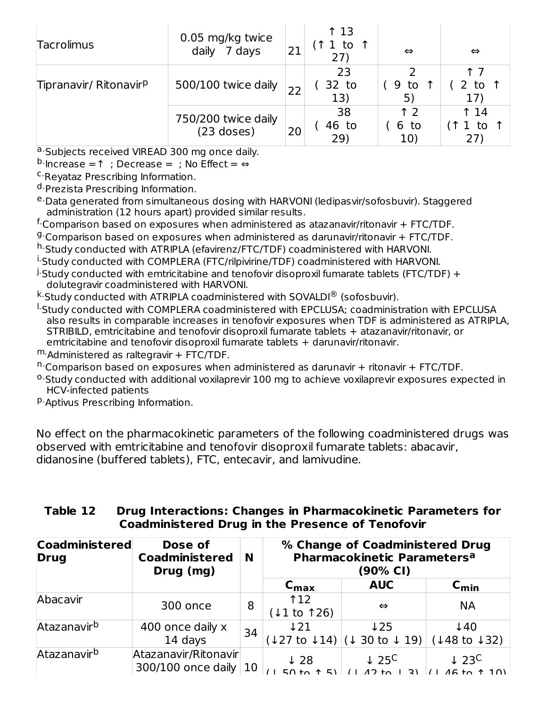| Tacrolimus                         | 0.05 mg/kg twice<br>7 days<br>daily | 21 | ↑ 13<br>1 to $\uparrow$<br>(27) | $\Leftrightarrow$  | $\Leftrightarrow$     |
|------------------------------------|-------------------------------------|----|---------------------------------|--------------------|-----------------------|
| Tipranavir/ Ritonavir <sup>p</sup> | 500/100 twice daily                 |    | 23<br>32 to<br>13)              | 9 to<br>5)         | to<br>17'             |
|                                    | 750/200 twice daily<br>$(23$ doses) | 20 | 38<br>46 to<br>29)              | ↑ つ<br>6 to<br>10) | $\uparrow$ 14<br>1 to |

a. Subjects received VIREAD 300 mg once daily.

 $^{\rm b.}$ Increase = ↑ ; Decrease = ; No Effect = ⇔

<sup>c.</sup>Reyataz Prescribing Information.

<sup>d.</sup>Prezista Prescribing Information.

<sup>e.</sup>Data generated from simultaneous dosing with HARVONI (ledipasvir/sofosbuvir). Staggered administration (12 hours apart) provided similar results.

<sup>f.</sup>Comparison based on exposures when administered as atazanavir/ritonavir + FTC/TDF.

<sup>g.</sup> Comparison based on exposures when administered as darunavir/ritonavir + FTC/TDF.

h.Study conducted with ATRIPLA (efavirenz/FTC/TDF) coadministered with HARVONI.

<sup>i.</sup>Study conducted with COMPLERA (FTC/rilpivirine/TDF) coadministered with HARVONI.

 $^\mathrm{j}$  Study conducted with emtricitabine and tenofovir disoproxil fumarate tablets (FTC/TDF) + dolutegravir coadministered with HARVONI.

 $^{\text{k}}$  Study conducted with ATRIPLA coadministered with SOVALDI $^{\textregistered}$  (sofosbuvir).

- <sup>I.</sup>Study conducted with COMPLERA coadministered with EPCLUSA; coadministration with EPCLUSA also results in comparable increases in tenofovir exposures when TDF is administered as ATRIPLA, STRIBILD, emtricitabine and tenofovir disoproxil fumarate tablets + atazanavir/ritonavir, or emtricitabine and tenofovir disoproxil fumarate tablets + darunavir/ritonavir.
- m. Administered as raltegravir + FTC/TDF.
- n. Comparison based on exposures when administered as darunavir + ritonavir + FTC/TDF.
- <sup>o.</sup>Study conducted with additional voxilaprevir 100 mg to achieve voxilaprevir exposures expected in HCV-infected patients
- <sup>p.</sup>Aptivus Prescribing Information.

No effect on the pharmacokinetic parameters of the following coadministered drugs was observed with emtricitabine and tenofovir disoproxil fumarate tablets: abacavir, didanosine (buffered tablets), FTC, entecavir, and lamivudine.

#### **Table 12 Drug Interactions: Changes in Pharmacokinetic Parameters for Coadministered Drug in the Presence of Tenofovir**

| <b>Coadministered</b><br><b>Drug</b> | Dose of<br><b>Coadministered</b><br>Drug (mg)   | N  | % Change of Coadministered Drug<br>Pharmacokinetic Parameters <sup>a</sup><br>(90% CI) |                                                                   |                                                        |  |
|--------------------------------------|-------------------------------------------------|----|----------------------------------------------------------------------------------------|-------------------------------------------------------------------|--------------------------------------------------------|--|
|                                      |                                                 |    | $C_{\text{max}}$                                                                       | <b>AUC</b>                                                        | $C_{\text{min}}$                                       |  |
| Abacavir                             | 300 once                                        | 8  | <b>112</b><br>$(11$ to 126)                                                            | $\Leftrightarrow$                                                 | <b>NA</b>                                              |  |
| Atazanavir <sup>b</sup>              | 400 once daily x<br>14 days                     | 34 | $\downarrow$ 21                                                                        | $\downarrow$ 25<br>$(127 \text{ to } 14)   (1 30 \text{ to } 19)$ | $\downarrow$ 40<br>$(148 \text{ to } 132)$             |  |
| Atazanavir <sup>b</sup>              | Atazanavir/Ritonavir<br>300/100 once daily $10$ |    | $\downarrow$ 28                                                                        | $\downarrow$ 25 <sup>C</sup><br>$(1.17)$ to                       | $\downarrow$ 23 <sup>C</sup><br>$1.46 \text{ to } 101$ |  |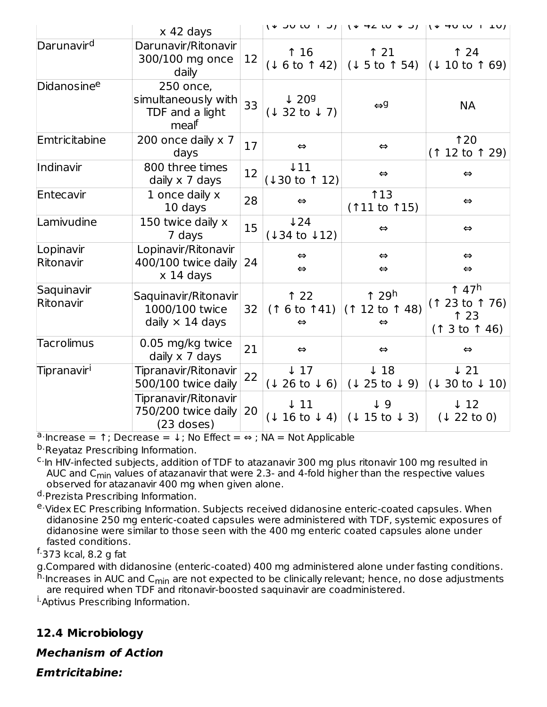|                         | $x$ 42 days                                                      |    |                                           |                                                                | 14 JULU 1 JJ   14 HZ LU + JJ   14 HU LU 1 LUJ                      |
|-------------------------|------------------------------------------------------------------|----|-------------------------------------------|----------------------------------------------------------------|--------------------------------------------------------------------|
| Darunavir <sup>d</sup>  | Darunavir/Ritonavir<br>300/100 mg once<br>daily                  | 12 | 16<br>(16 to 142)                         | $\uparrow$ 21<br>$(15$ to 1 54)                                | $\uparrow$ 24<br>(1 10 to 169)                                     |
| Didanosinee             | 250 once,<br>simultaneously with<br>TDF and a light<br>mealf     | 33 | $\downarrow$ 209<br>(1 32 to 17)          | $\Leftrightarrow$ 9                                            | <b>NA</b>                                                          |
| Emtricitabine           | 200 once daily $\times$ 7<br>days                                | 17 | $\Leftrightarrow$                         | $\Leftrightarrow$                                              | 120<br>$(112 \text{ to } 129)$                                     |
| Indinavir               | 800 three times<br>daily x 7 days                                | 12 | $\downarrow$ 11<br>$(130 \text{ to } 12)$ | $\Leftrightarrow$                                              | $\Leftrightarrow$                                                  |
| Entecavir               | 1 once daily x<br>10 days                                        | 28 | $\Leftrightarrow$                         | 13<br>$(111$ to $15)$                                          | $\Leftrightarrow$                                                  |
| Lamivudine              | 150 twice daily x<br>7 days                                      | 15 | $\sqrt{24}$<br>$(134 \text{ to } 12)$     | $\Leftrightarrow$                                              | $\Leftrightarrow$                                                  |
| Lopinavir<br>Ritonavir  | Lopinavir/Ritonavir<br>400/100 twice daily<br>$x$ 14 days        | 24 | $\Leftrightarrow$<br>$\Leftrightarrow$    | $\Leftrightarrow$<br>$\Leftrightarrow$                         | $\Leftrightarrow$<br>$\Leftrightarrow$                             |
| Saquinavir<br>Ritonavir | Saquinavir/Ritonavir<br>1000/100 twice<br>daily $\times$ 14 days | 32 | 122<br>(16 to 141)<br>$\Leftrightarrow$   | $\uparrow$ 29h<br>$(112 \text{ to } 148)$<br>$\Leftrightarrow$ | $\uparrow$ 47 <sup>h</sup><br>(1 23 to 1 76)<br>123<br>(13 to 146) |
| <b>Tacrolimus</b>       | 0.05 mg/kg twice<br>daily x 7 days                               | 21 | $\Leftrightarrow$                         | $\Leftrightarrow$                                              | $\Leftrightarrow$                                                  |
| Tipranavir <sup>i</sup> | Tipranavir/Ritonavir<br>500/100 twice daily                      | 22 | $\downarrow$ 17<br>(1 26 to 1 6)          | $\downarrow$ 18<br>$(125 \text{ to } 9)$                       | $\downarrow$ 21<br>$(130 \text{ to } 10)$                          |
|                         | Tipranavir/Ritonavir<br>750/200 twice daily<br>$(23$ doses)      | 20 | $\downarrow$ 11<br>(1 16 to 1 4)          | $\downarrow$ 9<br>(1 15 to 13)                                 | $\downarrow$ 12<br>(1 22 to 0)                                     |

 $a \cdot$ Increase = 1; Decrease =  $\downarrow$ ; No Effect = ⇔; NA = Not Applicable

<sup>b.</sup>Reyataz Prescribing Information.

<sup>c.</sup> In HIV-infected subjects, addition of TDF to atazanavir 300 mg plus ritonavir 100 mg resulted in AUC and C<sub>min</sub> values of atazanavir that were 2.3- and 4-fold higher than the respective values observed for atazanavir 400 mg when given alone.

<sup>d.</sup>Prezista Prescribing Information.

<sup>e.</sup>Videx EC Prescribing Information. Subjects received didanosine enteric-coated capsules. When didanosine 250 mg enteric-coated capsules were administered with TDF, systemic exposures of didanosine were similar to those seen with the 400 mg enteric coated capsules alone under fasted conditions.

#### <sup>f.</sup>373 kcal, 8.2 g fat

g.Compared with didanosine (enteric-coated) 400 mg administered alone under fasting conditions.

<sup>h.</sup>Increases in AUC and C<sub>min</sub> are not expected to be clinically relevant; hence, no dose adjustments are required when TDF and ritonavir-boosted saquinavir are coadministered.

<sup>i.</sup>Aptivus Prescribing Information.

### **12.4 Microbiology**

**Mechanism of Action**

**Emtricitabine:**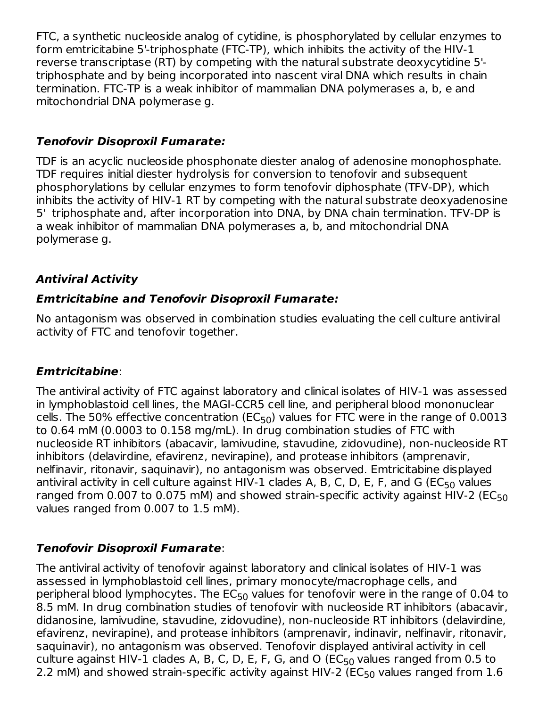FTC, a synthetic nucleoside analog of cytidine, is phosphorylated by cellular enzymes to form emtricitabine 5'-triphosphate (FTC-TP), which inhibits the activity of the HIV-1 reverse transcriptase (RT) by competing with the natural substrate deoxycytidine 5' triphosphate and by being incorporated into nascent viral DNA which results in chain termination. FTC-TP is a weak inhibitor of mammalian DNA polymerases a, b, e and mitochondrial DNA polymerase g.

### **Tenofovir Disoproxil Fumarate:**

TDF is an acyclic nucleoside phosphonate diester analog of adenosine monophosphate. TDF requires initial diester hydrolysis for conversion to tenofovir and subsequent phosphorylations by cellular enzymes to form tenofovir diphosphate (TFV-DP), which inhibits the activity of HIV-1 RT by competing with the natural substrate deoxyadenosine 5' triphosphate and, after incorporation into DNA, by DNA chain termination. TFV-DP is a weak inhibitor of mammalian DNA polymerases a, b, and mitochondrial DNA polymerase g.

### **Antiviral Activity**

### **Emtricitabine and Tenofovir Disoproxil Fumarate:**

No antagonism was observed in combination studies evaluating the cell culture antiviral activity of FTC and tenofovir together.

### **Emtricitabine**:

The antiviral activity of FTC against laboratory and clinical isolates of HIV-1 was assessed in lymphoblastoid cell lines, the MAGI-CCR5 cell line, and peripheral blood mononuclear cells. The 50% effective concentration (EC $_{50}$ ) values for FTC were in the range of 0.0013 to 0.64 mM (0.0003 to 0.158 mg/mL). In drug combination studies of FTC with nucleoside RT inhibitors (abacavir, lamivudine, stavudine, zidovudine), non-nucleoside RT inhibitors (delavirdine, efavirenz, nevirapine), and protease inhibitors (amprenavir, nelfinavir, ritonavir, saquinavir), no antagonism was observed. Emtricitabine displayed antiviral activity in cell culture against HIV-1 clades A, B, C, D, E, F, and G (EC $_{50}$  values ranged from 0.007 to 0.075 mM) and showed strain-specific activity against HIV-2 (EC $_{\rm 50}$ values ranged from 0.007 to 1.5 mM).

### **Tenofovir Disoproxil Fumarate**:

The antiviral activity of tenofovir against laboratory and clinical isolates of HIV-1 was assessed in lymphoblastoid cell lines, primary monocyte/macrophage cells, and peripheral blood lymphocytes. The  $\mathsf{EC}_{50}$  values for tenofovir were in the range of 0.04 to 8.5 mM. In drug combination studies of tenofovir with nucleoside RT inhibitors (abacavir, didanosine, lamivudine, stavudine, zidovudine), non-nucleoside RT inhibitors (delavirdine, efavirenz, nevirapine), and protease inhibitors (amprenavir, indinavir, nelfinavir, ritonavir, saquinavir), no antagonism was observed. Tenofovir displayed antiviral activity in cell culture against HIV-1 clades A, B, C, D, E, F, G, and O ( $\mathsf{EC}_{50}$  values ranged from 0.5 to 2.2 mM) and showed strain-specific activity against HIV-2 (EC $_{50}$  values ranged from  $1.6\,$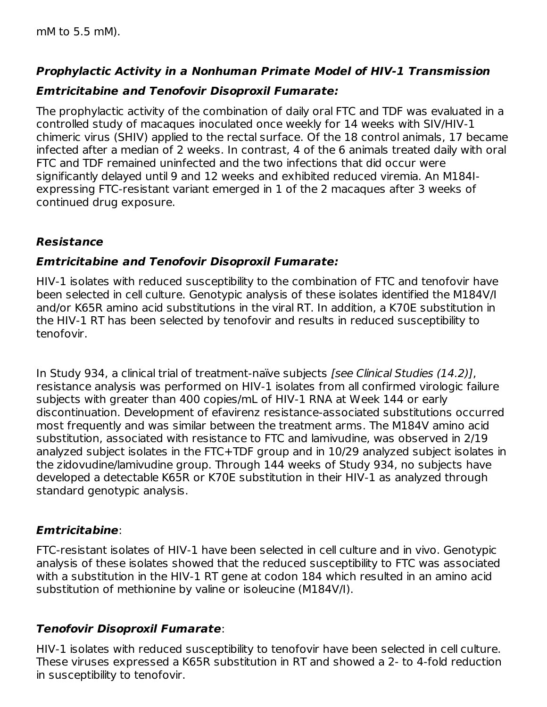### **Prophylactic Activity in a Nonhuman Primate Model of HIV-1 Transmission**

50

### **Emtricitabine and Tenofovir Disoproxil Fumarate:**

The prophylactic activity of the combination of daily oral FTC and TDF was evaluated in a controlled study of macaques inoculated once weekly for 14 weeks with SIV/HIV-1 chimeric virus (SHIV) applied to the rectal surface. Of the 18 control animals, 17 became infected after a median of 2 weeks. In contrast, 4 of the 6 animals treated daily with oral FTC and TDF remained uninfected and the two infections that did occur were significantly delayed until 9 and 12 weeks and exhibited reduced viremia. An M184Iexpressing FTC-resistant variant emerged in 1 of the 2 macaques after 3 weeks of continued drug exposure.

### **Resistance**

### **Emtricitabine and Tenofovir Disoproxil Fumarate:**

HIV-1 isolates with reduced susceptibility to the combination of FTC and tenofovir have been selected in cell culture. Genotypic analysis of these isolates identified the M184V/I and/or K65R amino acid substitutions in the viral RT. In addition, a K70E substitution in the HIV-1 RT has been selected by tenofovir and results in reduced susceptibility to tenofovir.

In Study 934, a clinical trial of treatment-naïve subjects [see Clinical Studies (14.2)], resistance analysis was performed on HIV-1 isolates from all confirmed virologic failure subjects with greater than 400 copies/mL of HIV-1 RNA at Week 144 or early discontinuation. Development of efavirenz resistance-associated substitutions occurred most frequently and was similar between the treatment arms. The M184V amino acid substitution, associated with resistance to FTC and lamivudine, was observed in 2/19 analyzed subject isolates in the FTC+TDF group and in 10/29 analyzed subject isolates in the zidovudine/lamivudine group. Through 144 weeks of Study 934, no subjects have developed a detectable K65R or K70E substitution in their HIV-1 as analyzed through standard genotypic analysis.

### **Emtricitabine**:

FTC-resistant isolates of HIV-1 have been selected in cell culture and in vivo. Genotypic analysis of these isolates showed that the reduced susceptibility to FTC was associated with a substitution in the HIV-1 RT gene at codon 184 which resulted in an amino acid substitution of methionine by valine or isoleucine (M184V/I).

### **Tenofovir Disoproxil Fumarate**:

HIV-1 isolates with reduced susceptibility to tenofovir have been selected in cell culture. These viruses expressed a K65R substitution in RT and showed a 2- to 4-fold reduction in susceptibility to tenofovir.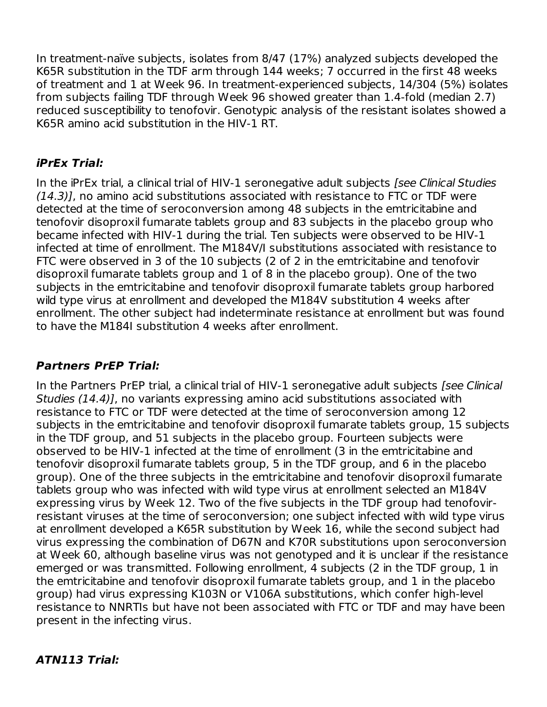In treatment-naïve subjects, isolates from 8/47 (17%) analyzed subjects developed the K65R substitution in the TDF arm through 144 weeks; 7 occurred in the first 48 weeks of treatment and 1 at Week 96. In treatment-experienced subjects, 14/304 (5%) isolates from subjects failing TDF through Week 96 showed greater than 1.4-fold (median 2.7) reduced susceptibility to tenofovir. Genotypic analysis of the resistant isolates showed a K65R amino acid substitution in the HIV-1 RT.

### **iPrEx Trial:**

In the iPrEx trial, a clinical trial of HIV-1 seronegative adult subjects [see Clinical Studies (14.3)], no amino acid substitutions associated with resistance to FTC or TDF were detected at the time of seroconversion among 48 subjects in the emtricitabine and tenofovir disoproxil fumarate tablets group and 83 subjects in the placebo group who became infected with HIV-1 during the trial. Ten subjects were observed to be HIV-1 infected at time of enrollment. The M184V/I substitutions associated with resistance to FTC were observed in 3 of the 10 subjects (2 of 2 in the emtricitabine and tenofovir disoproxil fumarate tablets group and 1 of 8 in the placebo group). One of the two subjects in the emtricitabine and tenofovir disoproxil fumarate tablets group harbored wild type virus at enrollment and developed the M184V substitution 4 weeks after enrollment. The other subject had indeterminate resistance at enrollment but was found to have the M184I substitution 4 weeks after enrollment.

### **Partners PrEP Trial:**

In the Partners PrEP trial, a clinical trial of HIV-1 seronegative adult subjects [see Clinical Studies (14.4)], no variants expressing amino acid substitutions associated with resistance to FTC or TDF were detected at the time of seroconversion among 12 subjects in the emtricitabine and tenofovir disoproxil fumarate tablets group, 15 subjects in the TDF group, and 51 subjects in the placebo group. Fourteen subjects were observed to be HIV-1 infected at the time of enrollment (3 in the emtricitabine and tenofovir disoproxil fumarate tablets group, 5 in the TDF group, and 6 in the placebo group). One of the three subjects in the emtricitabine and tenofovir disoproxil fumarate tablets group who was infected with wild type virus at enrollment selected an M184V expressing virus by Week 12. Two of the five subjects in the TDF group had tenofovirresistant viruses at the time of seroconversion; one subject infected with wild type virus at enrollment developed a K65R substitution by Week 16, while the second subject had virus expressing the combination of D67N and K70R substitutions upon seroconversion at Week 60, although baseline virus was not genotyped and it is unclear if the resistance emerged or was transmitted. Following enrollment, 4 subjects (2 in the TDF group, 1 in the emtricitabine and tenofovir disoproxil fumarate tablets group, and 1 in the placebo group) had virus expressing K103N or V106A substitutions, which confer high-level resistance to NNRTIs but have not been associated with FTC or TDF and may have been present in the infecting virus.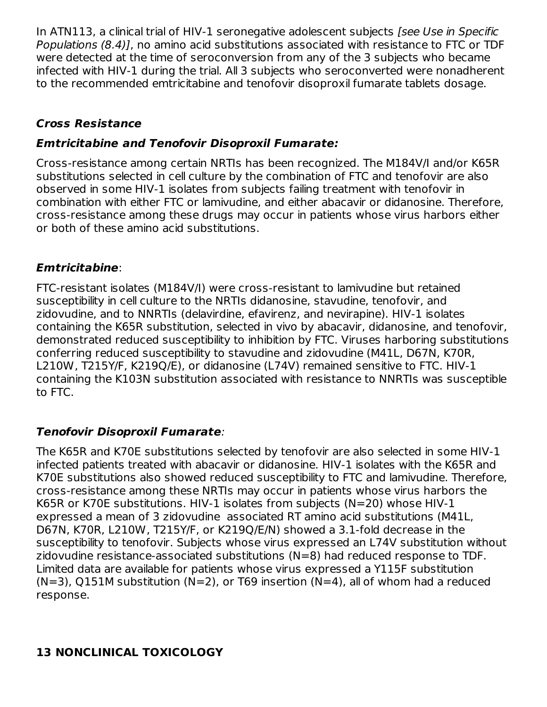In ATN113, a clinical trial of HIV-1 seronegative adolescent subjects [see Use in Specific Populations (8.4)], no amino acid substitutions associated with resistance to FTC or TDF were detected at the time of seroconversion from any of the 3 subjects who became infected with HIV-1 during the trial. All 3 subjects who seroconverted were nonadherent to the recommended emtricitabine and tenofovir disoproxil fumarate tablets dosage.

### **Cross Resistance**

### **Emtricitabine and Tenofovir Disoproxil Fumarate:**

Cross-resistance among certain NRTIs has been recognized. The M184V/I and/or K65R substitutions selected in cell culture by the combination of FTC and tenofovir are also observed in some HIV-1 isolates from subjects failing treatment with tenofovir in combination with either FTC or lamivudine, and either abacavir or didanosine. Therefore, cross-resistance among these drugs may occur in patients whose virus harbors either or both of these amino acid substitutions.

### **Emtricitabine**:

FTC-resistant isolates (M184V/I) were cross-resistant to lamivudine but retained susceptibility in cell culture to the NRTIs didanosine, stavudine, tenofovir, and zidovudine, and to NNRTIs (delavirdine, efavirenz, and nevirapine). HIV-1 isolates containing the K65R substitution, selected in vivo by abacavir, didanosine, and tenofovir, demonstrated reduced susceptibility to inhibition by FTC. Viruses harboring substitutions conferring reduced susceptibility to stavudine and zidovudine (M41L, D67N, K70R, L210W, T215Y/F, K219Q/E), or didanosine (L74V) remained sensitive to FTC. HIV-1 containing the K103N substitution associated with resistance to NNRTIs was susceptible to FTC.

### **Tenofovir Disoproxil Fumarate**:

The K65R and K70E substitutions selected by tenofovir are also selected in some HIV-1 infected patients treated with abacavir or didanosine. HIV-1 isolates with the K65R and K70E substitutions also showed reduced susceptibility to FTC and lamivudine. Therefore, cross-resistance among these NRTIs may occur in patients whose virus harbors the K65R or K70E substitutions. HIV-1 isolates from subjects (N=20) whose HIV-1 expressed a mean of 3 zidovudine associated RT amino acid substitutions (M41L, D67N, K70R, L210W, T215Y/F, or K219Q/E/N) showed a 3.1-fold decrease in the susceptibility to tenofovir. Subjects whose virus expressed an L74V substitution without zidovudine resistance-associated substitutions (N=8) had reduced response to TDF. Limited data are available for patients whose virus expressed a Y115F substitution  $(N=3)$ , Q151M substitution  $(N=2)$ , or T69 insertion  $(N=4)$ , all of whom had a reduced response.

# **13 NONCLINICAL TOXICOLOGY**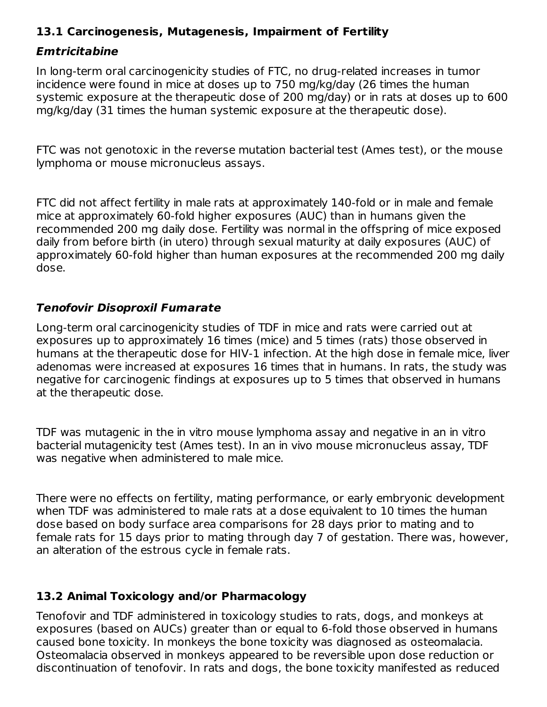### **13.1 Carcinogenesis, Mutagenesis, Impairment of Fertility**

#### **Emtricitabine**

In long-term oral carcinogenicity studies of FTC, no drug-related increases in tumor incidence were found in mice at doses up to 750 mg/kg/day (26 times the human systemic exposure at the therapeutic dose of 200 mg/day) or in rats at doses up to 600 mg/kg/day (31 times the human systemic exposure at the therapeutic dose).

FTC was not genotoxic in the reverse mutation bacterial test (Ames test), or the mouse lymphoma or mouse micronucleus assays.

FTC did not affect fertility in male rats at approximately 140-fold or in male and female mice at approximately 60-fold higher exposures (AUC) than in humans given the recommended 200 mg daily dose. Fertility was normal in the offspring of mice exposed daily from before birth (in utero) through sexual maturity at daily exposures (AUC) of approximately 60-fold higher than human exposures at the recommended 200 mg daily dose.

### **Tenofovir Disoproxil Fumarate**

Long-term oral carcinogenicity studies of TDF in mice and rats were carried out at exposures up to approximately 16 times (mice) and 5 times (rats) those observed in humans at the therapeutic dose for HIV-1 infection. At the high dose in female mice, liver adenomas were increased at exposures 16 times that in humans. In rats, the study was negative for carcinogenic findings at exposures up to 5 times that observed in humans at the therapeutic dose.

TDF was mutagenic in the in vitro mouse lymphoma assay and negative in an in vitro bacterial mutagenicity test (Ames test). In an in vivo mouse micronucleus assay, TDF was negative when administered to male mice.

There were no effects on fertility, mating performance, or early embryonic development when TDF was administered to male rats at a dose equivalent to 10 times the human dose based on body surface area comparisons for 28 days prior to mating and to female rats for 15 days prior to mating through day 7 of gestation. There was, however, an alteration of the estrous cycle in female rats.

### **13.2 Animal Toxicology and/or Pharmacology**

Tenofovir and TDF administered in toxicology studies to rats, dogs, and monkeys at exposures (based on AUCs) greater than or equal to 6-fold those observed in humans caused bone toxicity. In monkeys the bone toxicity was diagnosed as osteomalacia. Osteomalacia observed in monkeys appeared to be reversible upon dose reduction or discontinuation of tenofovir. In rats and dogs, the bone toxicity manifested as reduced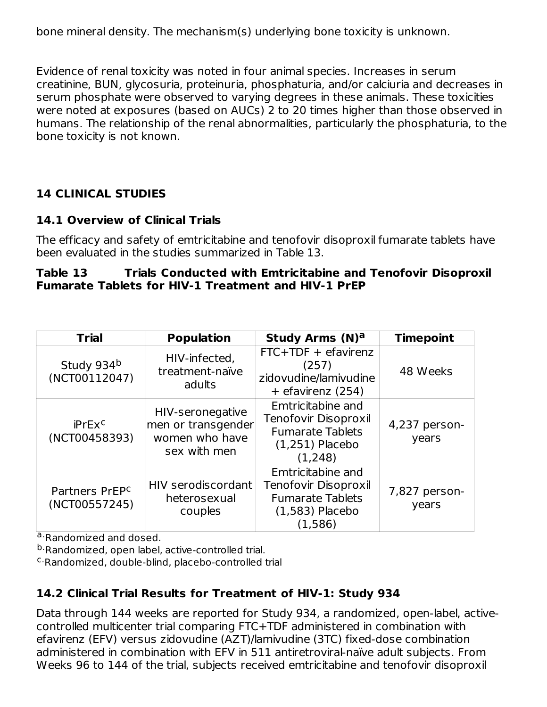bone mineral density. The mechanism(s) underlying bone toxicity is unknown.

Evidence of renal toxicity was noted in four animal species. Increases in serum creatinine, BUN, glycosuria, proteinuria, phosphaturia, and/or calciuria and decreases in serum phosphate were observed to varying degrees in these animals. These toxicities were noted at exposures (based on AUCs) 2 to 20 times higher than those observed in humans. The relationship of the renal abnormalities, particularly the phosphaturia, to the bone toxicity is not known.

### **14 CLINICAL STUDIES**

### **14.1 Overview of Clinical Trials**

The efficacy and safety of emtricitabine and tenofovir disoproxil fumarate tablets have been evaluated in the studies summarized in Table 13.

#### **Table 13 Trials Conducted with Emtricitabine and Tenofovir Disoproxil Fumarate Tablets for HIV-1 Treatment and HIV-1 PrEP**

| <b>Trial</b>                                | <b>Population</b>                                                        | <b>Study Arms (N)a</b>                                                                               | <b>Timepoint</b>       |
|---------------------------------------------|--------------------------------------------------------------------------|------------------------------------------------------------------------------------------------------|------------------------|
| Study 934b<br>(NCT00112047)                 | HIV-infected,<br>treatment-naïve<br>adults                               | $FTC+TDF + e$ favirenz<br>(257)<br>zidovudine/lamivudine<br>+ efavirenz (254)                        | 48 Weeks               |
| iPrEx <sup>c</sup><br>(NCT00458393)         | HIV-seronegative<br>men or transgender<br>women who have<br>sex with men | Emtricitabine and<br>Tenofovir Disoproxil<br><b>Fumarate Tablets</b><br>$(1,251)$ Placebo<br>(1,248) | 4,237 person-<br>years |
| Partners PrEP <sup>c</sup><br>(NCT00557245) | HIV serodiscordant<br>heterosexual<br>couples                            | Emtricitabine and<br>Tenofovir Disoproxil<br><b>Fumarate Tablets</b><br>$(1,583)$ Placebo<br>(1,586) | 7,827 person-<br>years |

a.Randomized and dosed.

<sup>b.</sup>Randomized, open label, active-controlled trial.

<sup>c.</sup>Randomized, double-blind, placebo-controlled trial

## **14.2 Clinical Trial Results for Treatment of HIV-1: Study 934**

Data through 144 weeks are reported for Study 934, a randomized, open-label, activecontrolled multicenter trial comparing FTC+TDF administered in combination with efavirenz (EFV) versus zidovudine (AZT)/lamivudine (3TC) fixed-dose combination administered in combination with EFV in 511 antiretroviral-naïve adult subjects. From Weeks 96 to 144 of the trial, subjects received emtricitabine and tenofovir disoproxil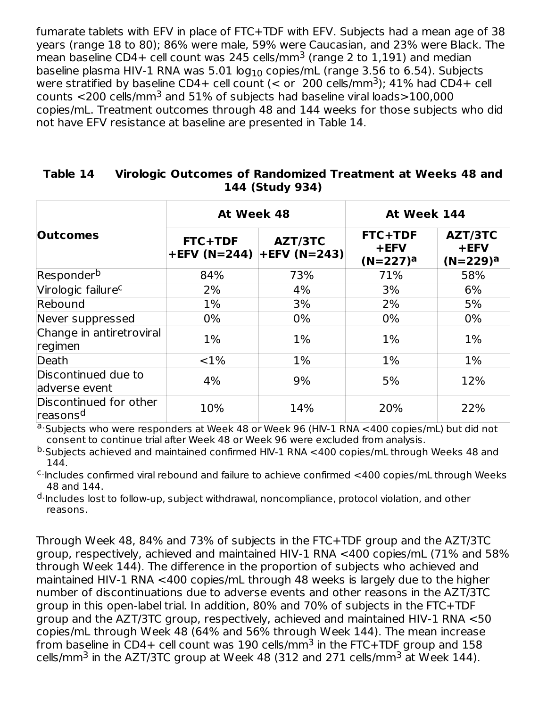fumarate tablets with EFV in place of FTC+TDF with EFV. Subjects had a mean age of 38 years (range 18 to 80); 86% were male, 59% were Caucasian, and 23% were Black. The mean baseline CD4+ cell count was 245 cells/mm<sup>3</sup> (range 2 to 1,191) and median baseline plasma HIV-1 RNA was 5.01  $log_{10}$  copies/mL (range 3.56 to 6.54). Subjects were stratified by baseline CD4+ cell count (< or  $200$  cells/mm<sup>3</sup>); 41% had CD4+ cell counts  $<$ 200 cells/mm $^3$  and 51% of subjects had baseline viral loads $>$ 100,000 copies/mL. Treatment outcomes through 48 and 144 weeks for those subjects who did not have EFV resistance at baseline are presented in Table 14.

|                                                | At Week 48                                      |       | At Week 144                    |                                   |  |
|------------------------------------------------|-------------------------------------------------|-------|--------------------------------|-----------------------------------|--|
| <b>Outcomes</b>                                | AZT/3TC<br>FTC+TDF<br>+EFV (N=244) +EFV (N=243) |       | FTC+TDF<br>+EFV<br>$(N=227)^a$ | AZT/3TC<br>$+$ EFV<br>$(N=229)^a$ |  |
| Responder <sup>b</sup>                         | 84%                                             | 73%   | 71%                            | 58%                               |  |
| Virologic failure <sup>c</sup>                 | 2%                                              | 4%    | 3%                             | 6%                                |  |
| Rebound                                        | 1%                                              | 3%    | 2%                             | 5%                                |  |
| Never suppressed                               | $0\%$                                           | $0\%$ | $0\%$                          | $0\%$                             |  |
| Change in antiretroviral<br>regimen            | $1\%$                                           | $1\%$ | $1\%$                          | $1\%$                             |  |
| Death                                          | <1%                                             | $1\%$ | 1%                             | $1\%$                             |  |
| Discontinued due to<br>adverse event           | 4%                                              | 9%    | 5%                             | 12%                               |  |
| Discontinued for other<br>reasons <sup>d</sup> | 10%                                             | 14%   | 20%                            | 22%                               |  |
|                                                |                                                 |       |                                |                                   |  |

#### **Table 14 Virologic Outcomes of Randomized Treatment at Weeks 48 and 144 (Study 934)**

a. Subjects who were responders at Week 48 or Week 96 (HIV-1 RNA <400 copies/mL) but did not consent to continue trial after Week 48 or Week 96 were excluded from analysis.

<sup>b.</sup>Subjects achieved and maintained confirmed HIV-1 RNA <400 copies/mL through Weeks 48 and 144.

 $\rm ^c$ ·Includes confirmed viral rebound and failure to achieve confirmed  $<$ 400 copies/mL through Weeks 48 and 144.

<sup>d.</sup>Includes lost to follow-up, subject withdrawal, noncompliance, protocol violation, and other reasons.

Through Week 48, 84% and 73% of subjects in the FTC+TDF group and the AZT/3TC group, respectively, achieved and maintained HIV-1 RNA <400 copies/mL (71% and 58% through Week 144). The difference in the proportion of subjects who achieved and maintained HIV-1 RNA <400 copies/mL through 48 weeks is largely due to the higher number of discontinuations due to adverse events and other reasons in the AZT/3TC group in this open-label trial. In addition, 80% and 70% of subjects in the FTC+TDF group and the AZT/3TC group, respectively, achieved and maintained HIV-1 RNA <50 copies/mL through Week 48 (64% and 56% through Week 144). The mean increase from baseline in CD4+ cell count was 190 cells/mm $^3$  in the FTC+TDF group and 158  $\,$ cells/mm $^3$  in the AZT/3TC group at Week 48 (312 and 271 cells/mm $^3$  at Week 144).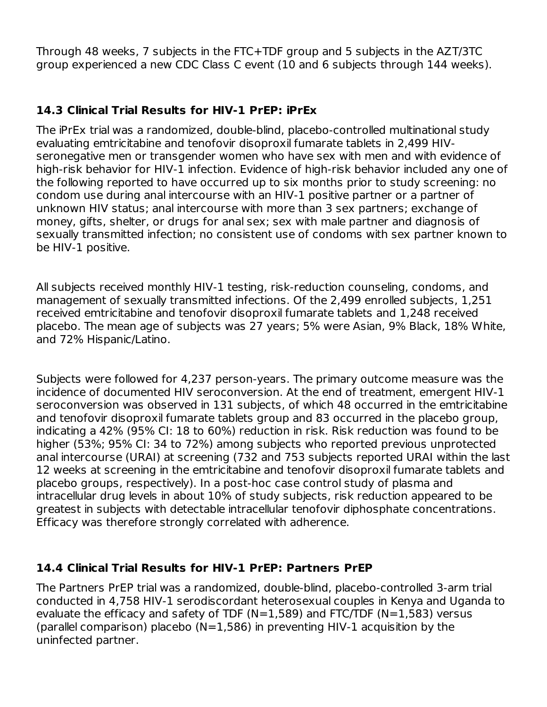Through 48 weeks, 7 subjects in the FTC+TDF group and 5 subjects in the AZT/3TC group experienced a new CDC Class C event (10 and 6 subjects through 144 weeks).

### **14.3 Clinical Trial Results for HIV-1 PrEP: iPrEx**

The iPrEx trial was a randomized, double-blind, placebo-controlled multinational study evaluating emtricitabine and tenofovir disoproxil fumarate tablets in 2,499 HIVseronegative men or transgender women who have sex with men and with evidence of high-risk behavior for HIV-1 infection. Evidence of high-risk behavior included any one of the following reported to have occurred up to six months prior to study screening: no condom use during anal intercourse with an HIV-1 positive partner or a partner of unknown HIV status; anal intercourse with more than 3 sex partners; exchange of money, gifts, shelter, or drugs for anal sex; sex with male partner and diagnosis of sexually transmitted infection; no consistent use of condoms with sex partner known to be HIV-1 positive.

All subjects received monthly HIV-1 testing, risk-reduction counseling, condoms, and management of sexually transmitted infections. Of the 2,499 enrolled subjects, 1,251 received emtricitabine and tenofovir disoproxil fumarate tablets and 1,248 received placebo. The mean age of subjects was 27 years; 5% were Asian, 9% Black, 18% White, and 72% Hispanic/Latino.

Subjects were followed for 4,237 person-years. The primary outcome measure was the incidence of documented HIV seroconversion. At the end of treatment, emergent HIV-1 seroconversion was observed in 131 subjects, of which 48 occurred in the emtricitabine and tenofovir disoproxil fumarate tablets group and 83 occurred in the placebo group, indicating a 42% (95% CI: 18 to 60%) reduction in risk. Risk reduction was found to be higher (53%; 95% CI: 34 to 72%) among subjects who reported previous unprotected anal intercourse (URAI) at screening (732 and 753 subjects reported URAI within the last 12 weeks at screening in the emtricitabine and tenofovir disoproxil fumarate tablets and placebo groups, respectively). In a post-hoc case control study of plasma and intracellular drug levels in about 10% of study subjects, risk reduction appeared to be greatest in subjects with detectable intracellular tenofovir diphosphate concentrations. Efficacy was therefore strongly correlated with adherence.

#### **14.4 Clinical Trial Results for HIV-1 PrEP: Partners PrEP**

The Partners PrEP trial was a randomized, double-blind, placebo-controlled 3-arm trial conducted in 4,758 HIV-1 serodiscordant heterosexual couples in Kenya and Uganda to evaluate the efficacy and safety of TDF (N=1,589) and FTC/TDF (N=1,583) versus (parallel comparison) placebo ( $N=1,586$ ) in preventing HIV-1 acquisition by the uninfected partner.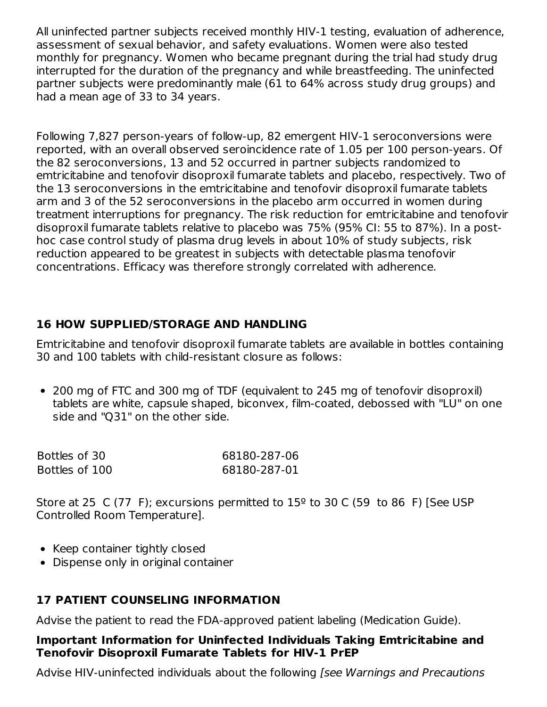All uninfected partner subjects received monthly HIV-1 testing, evaluation of adherence, assessment of sexual behavior, and safety evaluations. Women were also tested monthly for pregnancy. Women who became pregnant during the trial had study drug interrupted for the duration of the pregnancy and while breastfeeding. The uninfected partner subjects were predominantly male (61 to 64% across study drug groups) and had a mean age of 33 to 34 years.

Following 7,827 person-years of follow-up, 82 emergent HIV-1 seroconversions were reported, with an overall observed seroincidence rate of 1.05 per 100 person-years. Of the 82 seroconversions, 13 and 52 occurred in partner subjects randomized to emtricitabine and tenofovir disoproxil fumarate tablets and placebo, respectively. Two of the 13 seroconversions in the emtricitabine and tenofovir disoproxil fumarate tablets arm and 3 of the 52 seroconversions in the placebo arm occurred in women during treatment interruptions for pregnancy. The risk reduction for emtricitabine and tenofovir disoproxil fumarate tablets relative to placebo was 75% (95% CI: 55 to 87%). In a posthoc case control study of plasma drug levels in about 10% of study subjects, risk reduction appeared to be greatest in subjects with detectable plasma tenofovir concentrations. Efficacy was therefore strongly correlated with adherence.

### **16 HOW SUPPLIED/STORAGE AND HANDLING**

Emtricitabine and tenofovir disoproxil fumarate tablets are available in bottles containing 30 and 100 tablets with child-resistant closure as follows:

200 mg of FTC and 300 mg of TDF (equivalent to 245 mg of tenofovir disoproxil) tablets are white, capsule shaped, biconvex, film-coated, debossed with "LU" on one side and "Q31" on the other side.

| Bottles of 30  | 68180-287-06 |
|----------------|--------------|
| Bottles of 100 | 68180-287-01 |

Store at 25 C (77 F); excursions permitted to  $15^{\circ}$  to 30 C (59 to 86 F) [See USP Controlled Room Temperature].

- Keep container tightly closed
- Dispense only in original container

### **17 PATIENT COUNSELING INFORMATION**

Advise the patient to read the FDA-approved patient labeling (Medication Guide).

#### **Important Information for Uninfected Individuals Taking Emtricitabine and Tenofovir Disoproxil Fumarate Tablets for HIV-1 PrEP**

Advise HIV-uninfected individuals about the following [see Warnings and Precautions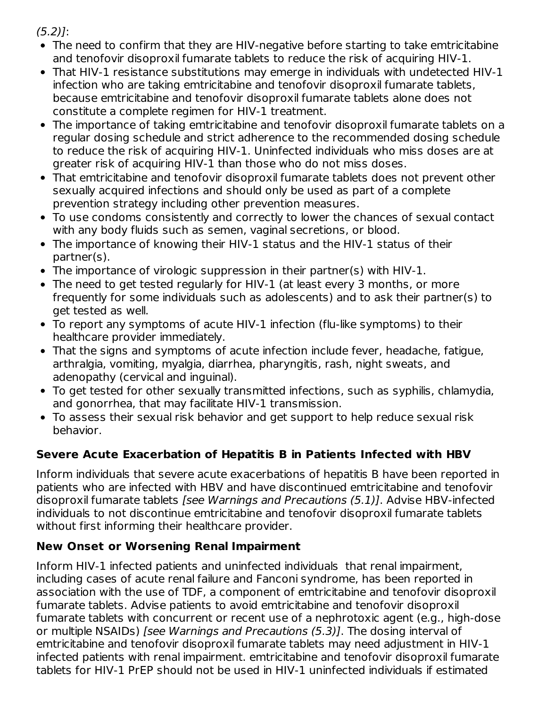$(5.2)$ :

- The need to confirm that they are HIV-negative before starting to take emtricitabine and tenofovir disoproxil fumarate tablets to reduce the risk of acquiring HIV-1.
- That HIV-1 resistance substitutions may emerge in individuals with undetected HIV-1 infection who are taking emtricitabine and tenofovir disoproxil fumarate tablets, because emtricitabine and tenofovir disoproxil fumarate tablets alone does not constitute a complete regimen for HIV-1 treatment.
- The importance of taking emtricitabine and tenofovir disoproxil fumarate tablets on a regular dosing schedule and strict adherence to the recommended dosing schedule to reduce the risk of acquiring HIV-1. Uninfected individuals who miss doses are at greater risk of acquiring HIV-1 than those who do not miss doses.
- That emtricitabine and tenofovir disoproxil fumarate tablets does not prevent other sexually acquired infections and should only be used as part of a complete prevention strategy including other prevention measures.
- To use condoms consistently and correctly to lower the chances of sexual contact with any body fluids such as semen, vaginal secretions, or blood.
- The importance of knowing their HIV-1 status and the HIV-1 status of their partner(s).
- The importance of virologic suppression in their partner(s) with HIV-1.
- The need to get tested regularly for HIV-1 (at least every 3 months, or more frequently for some individuals such as adolescents) and to ask their partner(s) to get tested as well.
- To report any symptoms of acute HIV-1 infection (flu-like symptoms) to their healthcare provider immediately.
- That the signs and symptoms of acute infection include fever, headache, fatigue, arthralgia, vomiting, myalgia, diarrhea, pharyngitis, rash, night sweats, and adenopathy (cervical and inguinal).
- To get tested for other sexually transmitted infections, such as syphilis, chlamydia, and gonorrhea, that may facilitate HIV-1 transmission.
- To assess their sexual risk behavior and get support to help reduce sexual risk behavior.

# **Severe Acute Exacerbation of Hepatitis B in Patients Infected with HBV**

Inform individuals that severe acute exacerbations of hepatitis B have been reported in patients who are infected with HBV and have discontinued emtricitabine and tenofovir disoproxil fumarate tablets [see Warnings and Precautions (5.1)]. Advise HBV-infected individuals to not discontinue emtricitabine and tenofovir disoproxil fumarate tablets without first informing their healthcare provider.

# **New Onset or Worsening Renal Impairment**

Inform HIV-1 infected patients and uninfected individuals that renal impairment, including cases of acute renal failure and Fanconi syndrome, has been reported in association with the use of TDF, a component of emtricitabine and tenofovir disoproxil fumarate tablets. Advise patients to avoid emtricitabine and tenofovir disoproxil fumarate tablets with concurrent or recent use of a nephrotoxic agent (e.g., high-dose or multiple NSAIDs) [see Warnings and Precautions (5.3)]. The dosing interval of emtricitabine and tenofovir disoproxil fumarate tablets may need adjustment in HIV-1 infected patients with renal impairment. emtricitabine and tenofovir disoproxil fumarate tablets for HIV-1 PrEP should not be used in HIV-1 uninfected individuals if estimated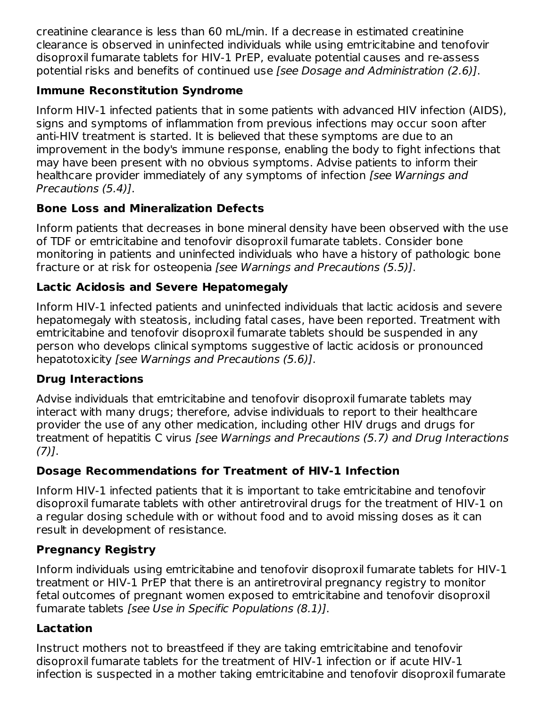creatinine clearance is less than 60 mL/min. If a decrease in estimated creatinine clearance is observed in uninfected individuals while using emtricitabine and tenofovir disoproxil fumarate tablets for HIV-1 PrEP, evaluate potential causes and re-assess potential risks and benefits of continued use [see Dosage and Administration (2.6)].

## **Immune Reconstitution Syndrome**

Inform HIV-1 infected patients that in some patients with advanced HIV infection (AIDS), signs and symptoms of inflammation from previous infections may occur soon after anti-HIV treatment is started. It is believed that these symptoms are due to an improvement in the body's immune response, enabling the body to fight infections that may have been present with no obvious symptoms. Advise patients to inform their healthcare provider immediately of any symptoms of infection [see Warnings and Precautions (5.4)].

# **Bone Loss and Mineralization Defects**

Inform patients that decreases in bone mineral density have been observed with the use of TDF or emtricitabine and tenofovir disoproxil fumarate tablets. Consider bone monitoring in patients and uninfected individuals who have a history of pathologic bone fracture or at risk for osteopenia [see Warnings and Precautions (5.5)].

# **Lactic Acidosis and Severe Hepatomegaly**

Inform HIV-1 infected patients and uninfected individuals that lactic acidosis and severe hepatomegaly with steatosis, including fatal cases, have been reported. Treatment with emtricitabine and tenofovir disoproxil fumarate tablets should be suspended in any person who develops clinical symptoms suggestive of lactic acidosis or pronounced hepatotoxicity [see Warnings and Precautions (5.6)].

# **Drug Interactions**

Advise individuals that emtricitabine and tenofovir disoproxil fumarate tablets may interact with many drugs; therefore, advise individuals to report to their healthcare provider the use of any other medication, including other HIV drugs and drugs for treatment of hepatitis C virus [see Warnings and Precautions (5.7) and Drug Interactions  $(7)$ ].

# **Dosage Recommendations for Treatment of HIV-1 Infection**

Inform HIV-1 infected patients that it is important to take emtricitabine and tenofovir disoproxil fumarate tablets with other antiretroviral drugs for the treatment of HIV-1 on a regular dosing schedule with or without food and to avoid missing doses as it can result in development of resistance.

## **Pregnancy Registry**

Inform individuals using emtricitabine and tenofovir disoproxil fumarate tablets for HIV-1 treatment or HIV-1 PrEP that there is an antiretroviral pregnancy registry to monitor fetal outcomes of pregnant women exposed to emtricitabine and tenofovir disoproxil fumarate tablets [see Use in Specific Populations (8.1)].

## **Lactation**

Instruct mothers not to breastfeed if they are taking emtricitabine and tenofovir disoproxil fumarate tablets for the treatment of HIV-1 infection or if acute HIV-1 infection is suspected in a mother taking emtricitabine and tenofovir disoproxil fumarate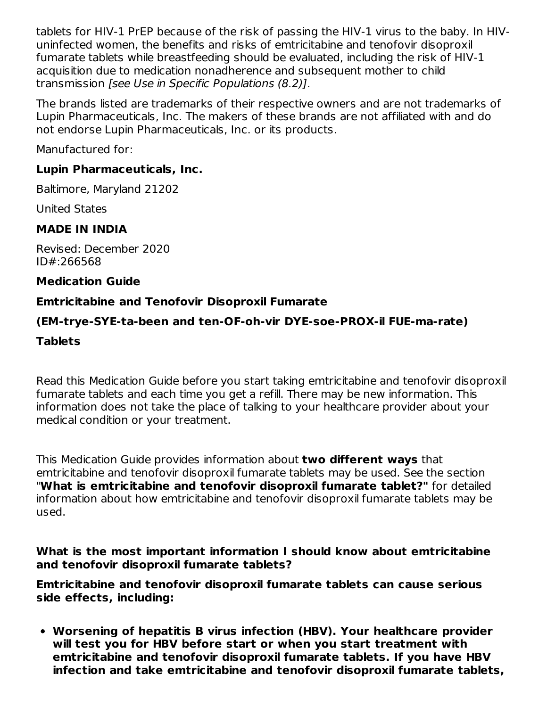tablets for HIV-1 PrEP because of the risk of passing the HIV-1 virus to the baby. In HIVuninfected women, the benefits and risks of emtricitabine and tenofovir disoproxil fumarate tablets while breastfeeding should be evaluated, including the risk of HIV-1 acquisition due to medication nonadherence and subsequent mother to child transmission [see Use in Specific Populations (8.2)].

The brands listed are trademarks of their respective owners and are not trademarks of Lupin Pharmaceuticals, Inc. The makers of these brands are not affiliated with and do not endorse Lupin Pharmaceuticals, Inc. or its products.

Manufactured for:

### **Lupin Pharmaceuticals, Inc.**

Baltimore, Maryland 21202

United States

### **MADE IN INDIA**

Revised: December 2020 ID#:266568

### **Medication Guide**

### **Emtricitabine and Tenofovir Disoproxil Fumarate**

### **(EM-trye-SYE-ta-been and ten-OF-oh-vir DYE-soe-PROX-il FUE-ma-rate)**

### **Tablets**

Read this Medication Guide before you start taking emtricitabine and tenofovir disoproxil fumarate tablets and each time you get a refill. There may be new information. This information does not take the place of talking to your healthcare provider about your medical condition or your treatment.

This Medication Guide provides information about **two different ways** that emtricitabine and tenofovir disoproxil fumarate tablets may be used. See the section "**What is emtricitabine and tenofovir disoproxil fumarate tablet?"** for detailed information about how emtricitabine and tenofovir disoproxil fumarate tablets may be used.

**What is the most important information I should know about emtricitabine and tenofovir disoproxil fumarate tablets?**

**Emtricitabine and tenofovir disoproxil fumarate tablets can cause serious side effects, including:**

**Worsening of hepatitis B virus infection (HBV). Your healthcare provider will test you for HBV before start or when you start treatment with emtricitabine and tenofovir disoproxil fumarate tablets. If you have HBV infection and take emtricitabine and tenofovir disoproxil fumarate tablets,**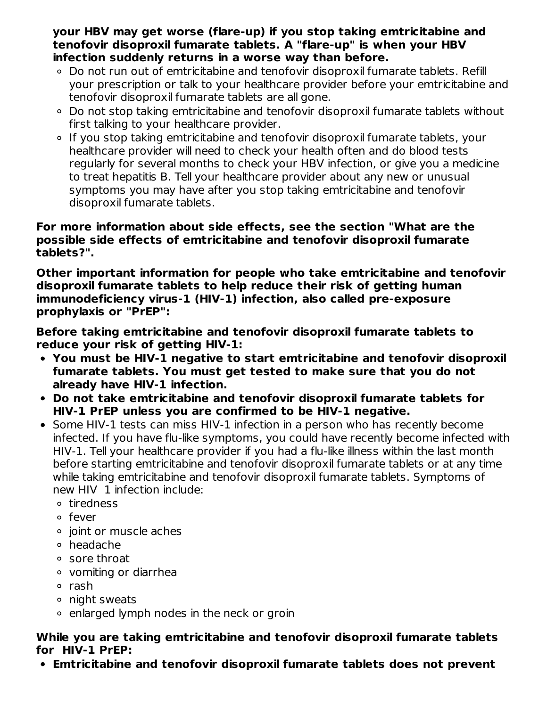**your HBV may get worse (flare-up) if you stop taking emtricitabine and tenofovir disoproxil fumarate tablets. A "flare-up" is when your HBV infection suddenly returns in a worse way than before.**

- Do not run out of emtricitabine and tenofovir disoproxil fumarate tablets. Refill your prescription or talk to your healthcare provider before your emtricitabine and tenofovir disoproxil fumarate tablets are all gone.
- Do not stop taking emtricitabine and tenofovir disoproxil fumarate tablets without first talking to your healthcare provider.
- If you stop taking emtricitabine and tenofovir disoproxil fumarate tablets, your healthcare provider will need to check your health often and do blood tests regularly for several months to check your HBV infection, or give you a medicine to treat hepatitis B. Tell your healthcare provider about any new or unusual symptoms you may have after you stop taking emtricitabine and tenofovir disoproxil fumarate tablets.

#### **For more information about side effects, see the section "What are the possible side effects of emtricitabine and tenofovir disoproxil fumarate tablets?".**

**Other important information for people who take emtricitabine and tenofovir disoproxil fumarate tablets to help reduce their risk of getting human immunodeficiency virus-1 (HIV-1) infection, also called pre-exposure prophylaxis or "PrEP":**

**Before taking emtricitabine and tenofovir disoproxil fumarate tablets to reduce your risk of getting HIV-1:**

- **You must be HIV-1 negative to start emtricitabine and tenofovir disoproxil fumarate tablets. You must get tested to make sure that you do not already have HIV-1 infection.**
- **Do not take emtricitabine and tenofovir disoproxil fumarate tablets for HIV-1 PrEP unless you are confirmed to be HIV-1 negative.**
- Some HIV-1 tests can miss HIV-1 infection in a person who has recently become infected. If you have flu-like symptoms, you could have recently become infected with HIV-1. Tell your healthcare provider if you had a flu-like illness within the last month before starting emtricitabine and tenofovir disoproxil fumarate tablets or at any time while taking emtricitabine and tenofovir disoproxil fumarate tablets. Symptoms of new HIV 1 infection include:
	- tiredness
	- fever
	- o joint or muscle aches
	- headache
	- sore throat
	- vomiting or diarrhea
	- o rash
	- night sweats
	- $\circ$  enlarged lymph nodes in the neck or groin

### **While you are taking emtricitabine and tenofovir disoproxil fumarate tablets for HIV-1 PrEP:**

**Emtricitabine and tenofovir disoproxil fumarate tablets does not prevent**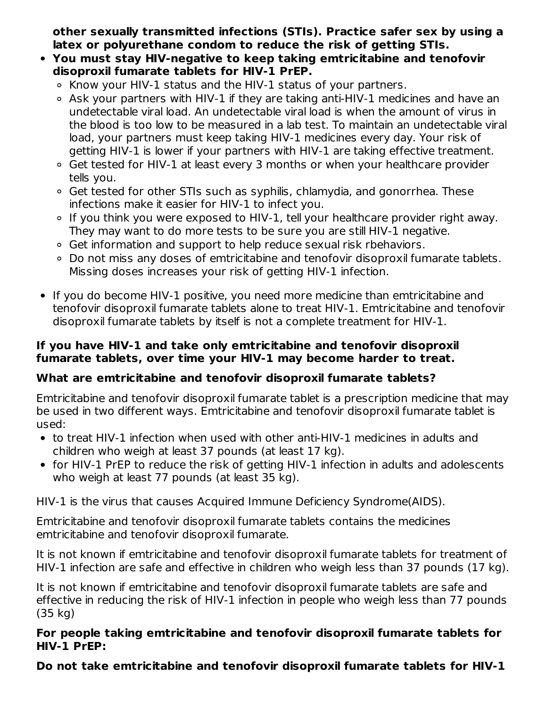**other sexually transmitted infections (STIs). Practice safer sex by using a latex or polyurethane condom to reduce the risk of getting STIs.**

- **You must stay HIV-negative to keep taking emtricitabine and tenofovir disoproxil fumarate tablets for HIV-1 PrEP.**
	- $\circ$  Know your HIV-1 status and the HIV-1 status of your partners.
	- Ask your partners with HIV-1 if they are taking anti-HIV-1 medicines and have an undetectable viral load. An undetectable viral load is when the amount of virus in the blood is too low to be measured in a lab test. To maintain an undetectable viral load, your partners must keep taking HIV-1 medicines every day. Your risk of getting HIV-1 is lower if your partners with HIV-1 are taking effective treatment.
	- Get tested for HIV-1 at least every 3 months or when your healthcare provider tells you.
	- Get tested for other STIs such as syphilis, chlamydia, and gonorrhea. These infections make it easier for HIV-1 to infect you.
	- If you think you were exposed to HIV-1, tell your healthcare provider right away. They may want to do more tests to be sure you are still HIV-1 negative.
	- Get information and support to help reduce sexual risk rbehaviors.
	- Do not miss any doses of emtricitabine and tenofovir disoproxil fumarate tablets. Missing doses increases your risk of getting HIV-1 infection.
- If you do become HIV-1 positive, you need more medicine than emtricitabine and tenofovir disoproxil fumarate tablets alone to treat HIV-1. Emtricitabine and tenofovir disoproxil fumarate tablets by itself is not a complete treatment for HIV-1.

### **If you have HIV-1 and take only emtricitabine and tenofovir disoproxil fumarate tablets, over time your HIV-1 may become harder to treat.**

## **What are emtricitabine and tenofovir disoproxil fumarate tablets?**

Emtricitabine and tenofovir disoproxil fumarate tablet is a prescription medicine that may be used in two different ways. Emtricitabine and tenofovir disoproxil fumarate tablet is used:

- to treat HIV-1 infection when used with other anti-HIV-1 medicines in adults and children who weigh at least 37 pounds (at least 17 kg).
- for HIV-1 PrEP to reduce the risk of getting HIV-1 infection in adults and adolescents who weigh at least 77 pounds (at least 35 kg).

HIV-1 is the virus that causes Acquired Immune Deficiency Syndrome(AIDS).

Emtricitabine and tenofovir disoproxil fumarate tablets contains the medicines emtricitabine and tenofovir disoproxil fumarate.

It is not known if emtricitabine and tenofovir disoproxil fumarate tablets for treatment of HIV-1 infection are safe and effective in children who weigh less than 37 pounds (17 kg).

It is not known if emtricitabine and tenofovir disoproxil fumarate tablets are safe and effective in reducing the risk of HIV-1 infection in people who weigh less than 77 pounds (35 kg)

#### **For people taking emtricitabine and tenofovir disoproxil fumarate tablets for HIV-1 PrEP:**

**Do not take emtricitabine and tenofovir disoproxil fumarate tablets for HIV-1**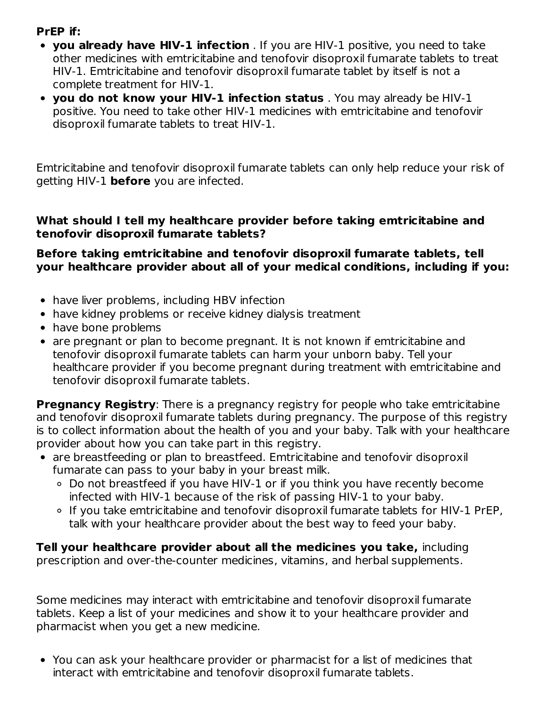### **PrEP if:**

- **you already have HIV-1 infection** . If you are HIV-1 positive, you need to take other medicines with emtricitabine and tenofovir disoproxil fumarate tablets to treat HIV-1. Emtricitabine and tenofovir disoproxil fumarate tablet by itself is not a complete treatment for HIV-1.
- **you do not know your HIV-1 infection status** . You may already be HIV-1 positive. You need to take other HIV-1 medicines with emtricitabine and tenofovir disoproxil fumarate tablets to treat HIV-1.

Emtricitabine and tenofovir disoproxil fumarate tablets can only help reduce your risk of getting HIV-1 **before** you are infected.

#### **What should I tell my healthcare provider before taking emtricitabine and tenofovir disoproxil fumarate tablets?**

#### **Before taking emtricitabine and tenofovir disoproxil fumarate tablets, tell your healthcare provider about all of your medical conditions, including if you:**

- have liver problems, including HBV infection
- have kidney problems or receive kidney dialysis treatment
- have bone problems
- are pregnant or plan to become pregnant. It is not known if emtricitabine and tenofovir disoproxil fumarate tablets can harm your unborn baby. Tell your healthcare provider if you become pregnant during treatment with emtricitabine and tenofovir disoproxil fumarate tablets.

**Pregnancy Registry:** There is a pregnancy registry for people who take emtricitabine and tenofovir disoproxil fumarate tablets during pregnancy. The purpose of this registry is to collect information about the health of you and your baby. Talk with your healthcare provider about how you can take part in this registry.

- are breastfeeding or plan to breastfeed. Emtricitabine and tenofovir disoproxil fumarate can pass to your baby in your breast milk.
	- Do not breastfeed if you have HIV-1 or if you think you have recently become infected with HIV-1 because of the risk of passing HIV-1 to your baby.
	- If you take emtricitabine and tenofovir disoproxil fumarate tablets for HIV-1 PrEP, talk with your healthcare provider about the best way to feed your baby.

**Tell your healthcare provider about all the medicines you take,** including prescription and over-the-counter medicines, vitamins, and herbal supplements.

Some medicines may interact with emtricitabine and tenofovir disoproxil fumarate tablets. Keep a list of your medicines and show it to your healthcare provider and pharmacist when you get a new medicine.

You can ask your healthcare provider or pharmacist for a list of medicines that interact with emtricitabine and tenofovir disoproxil fumarate tablets.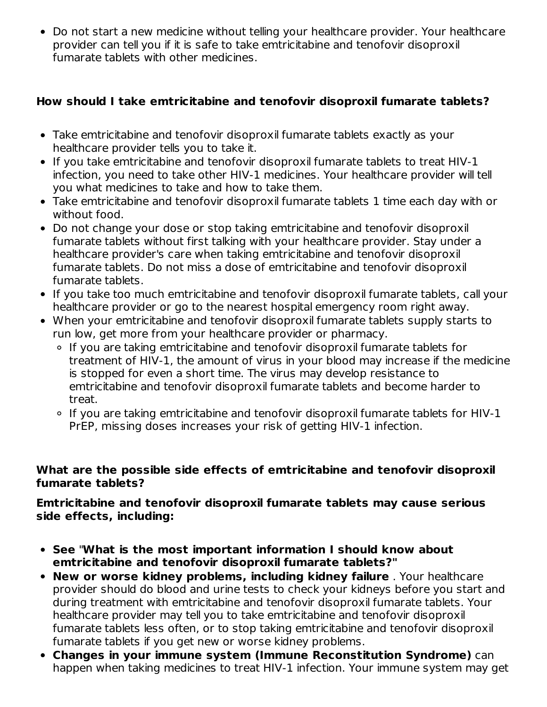Do not start a new medicine without telling your healthcare provider. Your healthcare provider can tell you if it is safe to take emtricitabine and tenofovir disoproxil fumarate tablets with other medicines.

### **How should I take emtricitabine and tenofovir disoproxil fumarate tablets?**

- Take emtricitabine and tenofovir disoproxil fumarate tablets exactly as your healthcare provider tells you to take it.
- If you take emtricitabine and tenofovir disoproxil fumarate tablets to treat HIV-1 infection, you need to take other HIV-1 medicines. Your healthcare provider will tell you what medicines to take and how to take them.
- Take emtricitabine and tenofovir disoproxil fumarate tablets 1 time each day with or without food.
- Do not change your dose or stop taking emtricitabine and tenofovir disoproxil fumarate tablets without first talking with your healthcare provider. Stay under a healthcare provider's care when taking emtricitabine and tenofovir disoproxil fumarate tablets. Do not miss a dose of emtricitabine and tenofovir disoproxil fumarate tablets.
- If you take too much emtricitabine and tenofovir disoproxil fumarate tablets, call your healthcare provider or go to the nearest hospital emergency room right away.
- When your emtricitabine and tenofovir disoproxil fumarate tablets supply starts to run low, get more from your healthcare provider or pharmacy.
	- If you are taking emtricitabine and tenofovir disoproxil fumarate tablets for treatment of HIV-1, the amount of virus in your blood may increase if the medicine is stopped for even a short time. The virus may develop resistance to emtricitabine and tenofovir disoproxil fumarate tablets and become harder to treat.
	- If you are taking emtricitabine and tenofovir disoproxil fumarate tablets for HIV-1 PrEP, missing doses increases your risk of getting HIV-1 infection.

#### **What are the possible side effects of emtricitabine and tenofovir disoproxil fumarate tablets?**

### **Emtricitabine and tenofovir disoproxil fumarate tablets may cause serious side effects, including:**

- **See** "**What is the most important information I should know about emtricitabine and tenofovir disoproxil fumarate tablets?"**
- **New or worse kidney problems, including kidney failure** . Your healthcare provider should do blood and urine tests to check your kidneys before you start and during treatment with emtricitabine and tenofovir disoproxil fumarate tablets. Your healthcare provider may tell you to take emtricitabine and tenofovir disoproxil fumarate tablets less often, or to stop taking emtricitabine and tenofovir disoproxil fumarate tablets if you get new or worse kidney problems.
- **Changes in your immune system (Immune Reconstitution Syndrome)** can happen when taking medicines to treat HIV-1 infection. Your immune system may get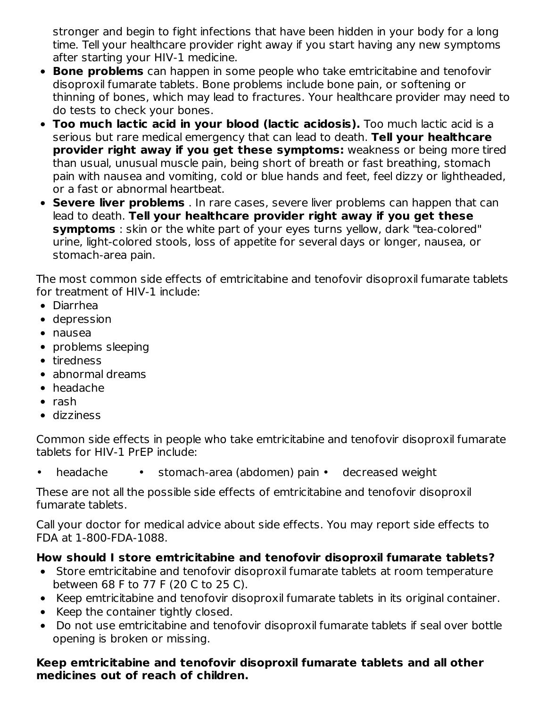stronger and begin to fight infections that have been hidden in your body for a long time. Tell your healthcare provider right away if you start having any new symptoms after starting your HIV-1 medicine.

- **Bone problems** can happen in some people who take emtricitabine and tenofovir disoproxil fumarate tablets. Bone problems include bone pain, or softening or thinning of bones, which may lead to fractures. Your healthcare provider may need to do tests to check your bones.
- **Too much lactic acid in your blood (lactic acidosis).** Too much lactic acid is a serious but rare medical emergency that can lead to death. **Tell your healthcare provider right away if you get these symptoms:** weakness or being more tired than usual, unusual muscle pain, being short of breath or fast breathing, stomach pain with nausea and vomiting, cold or blue hands and feet, feel dizzy or lightheaded, or a fast or abnormal heartbeat.
- **Severe liver problems** . In rare cases, severe liver problems can happen that can lead to death. **Tell your healthcare provider right away if you get these symptoms** : skin or the white part of your eyes turns yellow, dark "tea-colored" urine, light-colored stools, loss of appetite for several days or longer, nausea, or stomach-area pain.

The most common side effects of emtricitabine and tenofovir disoproxil fumarate tablets for treatment of HIV-1 include:

- Diarrhea
- depression
- nausea
- problems sleeping
- tiredness
- abnormal dreams
- headache
- $\bullet$  rash
- dizziness

Common side effects in people who take emtricitabine and tenofovir disoproxil fumarate tablets for HIV-1 PrEP include:

• headache • stomach-area (abdomen) pain • decreased weight

These are not all the possible side effects of emtricitabine and tenofovir disoproxil fumarate tablets.

Call your doctor for medical advice about side effects. You may report side effects to FDA at 1-800-FDA-1088.

## **How should I store emtricitabine and tenofovir disoproxil fumarate tablets?**

- Store emtricitabine and tenofovir disoproxil fumarate tablets at room temperature between 68 F to 77 F (20 C to 25 C).
- Keep emtricitabine and tenofovir disoproxil fumarate tablets in its original container.
- Keep the container tightly closed.
- Do not use emtricitabine and tenofovir disoproxil fumarate tablets if seal over bottle opening is broken or missing.

### **Keep emtricitabine and tenofovir disoproxil fumarate tablets and all other medicines out of reach of children.**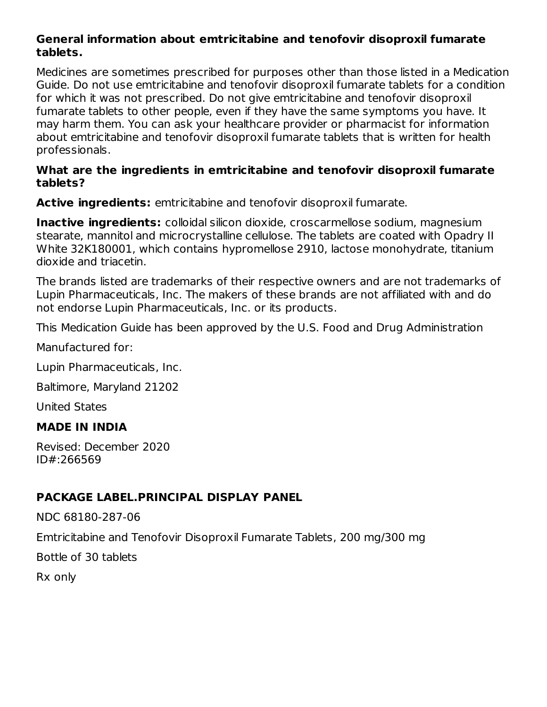#### **General information about emtricitabine and tenofovir disoproxil fumarate tablets.**

Medicines are sometimes prescribed for purposes other than those listed in a Medication Guide. Do not use emtricitabine and tenofovir disoproxil fumarate tablets for a condition for which it was not prescribed. Do not give emtricitabine and tenofovir disoproxil fumarate tablets to other people, even if they have the same symptoms you have. It may harm them. You can ask your healthcare provider or pharmacist for information about emtricitabine and tenofovir disoproxil fumarate tablets that is written for health professionals.

#### **What are the ingredients in emtricitabine and tenofovir disoproxil fumarate tablets?**

**Active ingredients:** emtricitabine and tenofovir disoproxil fumarate.

**Inactive ingredients:** colloidal silicon dioxide, croscarmellose sodium, magnesium stearate, mannitol and microcrystalline cellulose. The tablets are coated with Opadry II White 32K180001, which contains hypromellose 2910, lactose monohydrate, titanium dioxide and triacetin.

The brands listed are trademarks of their respective owners and are not trademarks of Lupin Pharmaceuticals, Inc. The makers of these brands are not affiliated with and do not endorse Lupin Pharmaceuticals, Inc. or its products.

This Medication Guide has been approved by the U.S. Food and Drug Administration

Manufactured for:

Lupin Pharmaceuticals, Inc.

Baltimore, Maryland 21202

United States

#### **MADE IN INDIA**

Revised: December 2020 ID#:266569

## **PACKAGE LABEL.PRINCIPAL DISPLAY PANEL**

NDC 68180-287-06 Emtricitabine and Tenofovir Disoproxil Fumarate Tablets, 200 mg/300 mg Bottle of 30 tablets Rx only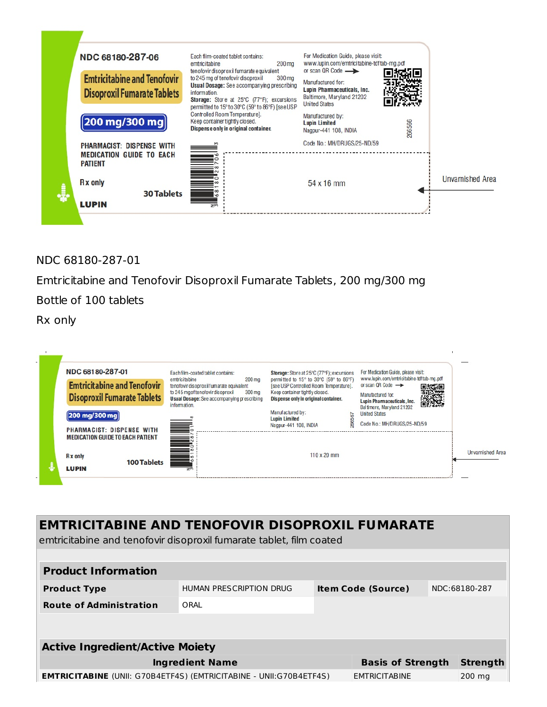

NDC 68180-287-01

Emtricitabine and Tenofovir Disoproxil Fumarate Tablets, 200 mg/300 mg Bottle of 100 tablets

Rx only



| <b>EMTRICITABINE AND TENOFOVIR DISOPROXIL FUMARATE</b><br>emtricitabine and tenofovir disoproxil fumarate tablet, film coated |                          |  |                           |  |               |  |  |
|-------------------------------------------------------------------------------------------------------------------------------|--------------------------|--|---------------------------|--|---------------|--|--|
|                                                                                                                               |                          |  |                           |  |               |  |  |
| <b>Product Information</b>                                                                                                    |                          |  |                           |  |               |  |  |
| <b>Product Type</b>                                                                                                           | HUMAN PRESCRIPTION DRUG  |  | <b>Item Code (Source)</b> |  | NDC:68180-287 |  |  |
| <b>Route of Administration</b>                                                                                                | ORAI                     |  |                           |  |               |  |  |
|                                                                                                                               |                          |  |                           |  |               |  |  |
| <b>Active Ingredient/Active Moiety</b>                                                                                        |                          |  |                           |  |               |  |  |
| <b>Ingredient Name</b>                                                                                                        | <b>Basis of Strength</b> |  | <b>Strength</b>           |  |               |  |  |
| <b>EMTRICITABINE</b> (UNII: G70B4ETF4S) (EMTRICITABINE - UNII:G70B4ETF4S)                                                     | <b>EMTRICITABINE</b>     |  | 200 mg                    |  |               |  |  |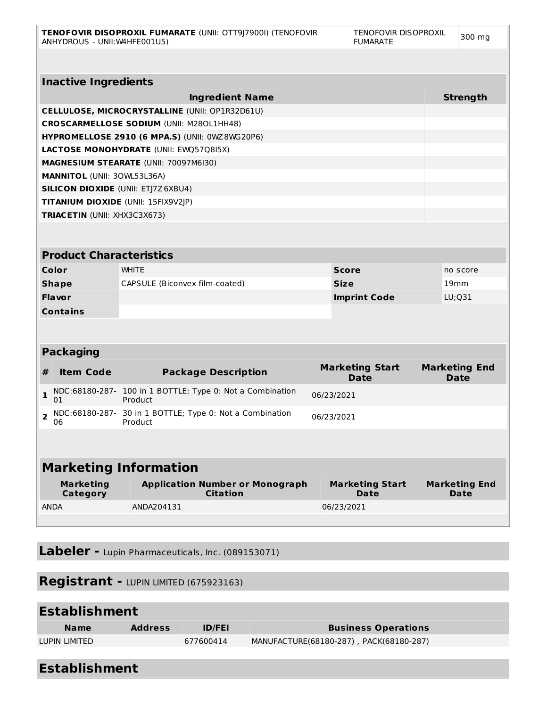|                | <b>Inactive Ingredients</b>               |                                                                      |                     |                                       |          |                                     |  |  |
|----------------|-------------------------------------------|----------------------------------------------------------------------|---------------------|---------------------------------------|----------|-------------------------------------|--|--|
|                | <b>Strength</b><br><b>Ingredient Name</b> |                                                                      |                     |                                       |          |                                     |  |  |
|                |                                           | CELLULOSE, MICROCRYSTALLINE (UNII: OP1R32D61U)                       |                     |                                       |          |                                     |  |  |
|                |                                           | <b>CROSCARMELLOSE SODIUM (UNII: M280L1HH48)</b>                      |                     |                                       |          |                                     |  |  |
|                |                                           | HYPROMELLOSE 2910 (6 MPA.S) (UNII: 0WZ8WG20P6)                       |                     |                                       |          |                                     |  |  |
|                |                                           | <b>LACTOSE MONOHYDRATE (UNII: EWQ57Q8I5X)</b>                        |                     |                                       |          |                                     |  |  |
|                |                                           | <b>MAGNESIUM STEARATE (UNII: 70097M6I30)</b>                         |                     |                                       |          |                                     |  |  |
|                | <b>MANNITOL (UNII: 30WL53L36A)</b>        |                                                                      |                     |                                       |          |                                     |  |  |
|                |                                           | <b>SILICON DIOXIDE (UNII: ETJ7Z6XBU4)</b>                            |                     |                                       |          |                                     |  |  |
|                |                                           | TITANIUM DIOXIDE (UNII: 15FIX9V2JP)                                  |                     |                                       |          |                                     |  |  |
|                | <b>TRIACETIN (UNII: XHX3C3X673)</b>       |                                                                      |                     |                                       |          |                                     |  |  |
|                |                                           |                                                                      |                     |                                       |          |                                     |  |  |
|                | <b>Product Characteristics</b>            |                                                                      |                     |                                       |          |                                     |  |  |
|                | Color                                     | <b>WHITE</b>                                                         |                     | <b>Score</b>                          | no score |                                     |  |  |
|                | <b>Shape</b>                              | CAPSULE (Biconvex film-coated)                                       |                     | <b>Size</b>                           | 19mm     |                                     |  |  |
|                | <b>Flavor</b>                             |                                                                      | <b>Imprint Code</b> |                                       |          | LU:031                              |  |  |
|                | <b>Contains</b>                           |                                                                      |                     |                                       |          |                                     |  |  |
|                |                                           |                                                                      |                     |                                       |          |                                     |  |  |
|                |                                           |                                                                      |                     |                                       |          |                                     |  |  |
|                | <b>Packaging</b>                          |                                                                      |                     |                                       |          |                                     |  |  |
| #              | <b>Item Code</b>                          | <b>Package Description</b>                                           |                     | <b>Marketing Start</b><br><b>Date</b> |          | <b>Marketing End</b><br>Date        |  |  |
| $\mathbf{1}$   | 01                                        | NDC:68180-287- 100 in 1 BOTTLE; Type 0: Not a Combination<br>Product |                     | 06/23/2021                            |          |                                     |  |  |
| $\overline{2}$ | NDC:68180-287-<br>06                      | 30 in 1 BOTTLE; Type 0: Not a Combination<br>Product                 |                     |                                       |          |                                     |  |  |
|                |                                           |                                                                      |                     |                                       |          |                                     |  |  |
|                |                                           |                                                                      |                     |                                       |          |                                     |  |  |
|                | <b>Marketing Information</b>              |                                                                      |                     |                                       |          |                                     |  |  |
|                | <b>Marketing</b><br>Category              | <b>Application Number or Monograph</b><br><b>Citation</b>            |                     | <b>Marketing Start</b><br><b>Date</b> |          | <b>Marketing End</b><br><b>Date</b> |  |  |
|                | <b>ANDA</b>                               | ANDA204131                                                           |                     | 06/23/2021                            |          |                                     |  |  |
|                |                                           |                                                                      |                     |                                       |          |                                     |  |  |

**Labeler -** Lupin Pharmaceuticals, Inc. (089153071)

# **Registrant -** LUPIN LIMITED (675923163)

| <b>Establishment</b> |                |               |                                         |  |  |
|----------------------|----------------|---------------|-----------------------------------------|--|--|
| <b>Name</b>          | <b>Address</b> | <b>ID/FEI</b> | <b>Business Operations</b>              |  |  |
| LUPIN LIMITED        |                | 677600414     | MANUFACTURE(68180-287), PACK(68180-287) |  |  |
|                      |                |               |                                         |  |  |

| <b>Establishment</b> |
|----------------------|
|----------------------|